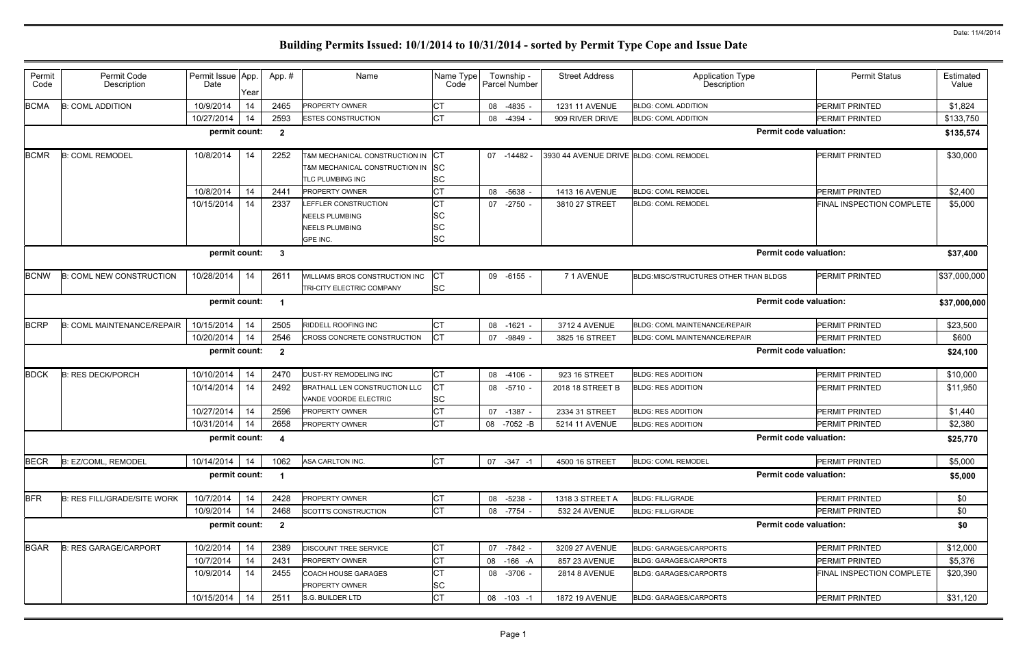| Permit<br>Code | Permit Code<br>Description         | Permit Issue App.<br>Date | Year | App.#                   | Name                                                                                    | Name Type<br>Code                                | Township -<br>Parcel Number | <b>Street Address</b>                   | <b>Application Type</b><br>Description | <b>Permit Status</b>             | Estimated<br>Value |
|----------------|------------------------------------|---------------------------|------|-------------------------|-----------------------------------------------------------------------------------------|--------------------------------------------------|-----------------------------|-----------------------------------------|----------------------------------------|----------------------------------|--------------------|
| <b>BCMA</b>    | <b>B: COML ADDITION</b>            | 10/9/2014                 | 14   | 2465                    | PROPERTY OWNER                                                                          | CТ                                               | 08<br>-4835                 | 1231 11 AVENUE                          | <b>BLDG: COML ADDITION</b>             | <b>PERMIT PRINTED</b>            | \$1,824            |
|                |                                    | 10/27/2014                | 14   | 2593                    | <b>ESTES CONSTRUCTION</b>                                                               | <b>CT</b>                                        | -4394<br>08                 | 909 RIVER DRIVE                         | <b>BLDG: COML ADDITION</b>             | <b>PERMIT PRINTED</b>            | \$133,750          |
|                |                                    | permit count:             |      | $\overline{\mathbf{2}}$ |                                                                                         |                                                  |                             |                                         |                                        | <b>Permit code valuation:</b>    | \$135,574          |
| <b>BCMR</b>    | <b>B: COML REMODEL</b>             | 10/8/2014                 | 14   | 2252                    | T&M MECHANICAL CONSTRUCTION IN<br>T&M MECHANICAL CONSTRUCTION IN SC<br>TLC PLUMBING INC | ICT<br>SC                                        | 07 -14482                   | 3930 44 AVENUE DRIVE BLDG: COML REMODEL |                                        | <b>PERMIT PRINTED</b>            | \$30,000           |
|                |                                    | 10/8/2014                 | 14   | 2441                    | <b>PROPERTY OWNER</b>                                                                   | СT                                               | 08 -5638                    | 1413 16 AVENUE                          | <b>BLDG: COML REMODEL</b>              | <b>PERMIT PRINTED</b>            | \$2,400            |
|                |                                    | 10/15/2014                | 14   | 2337                    | LEFFLER CONSTRUCTION<br><b>NEELS PLUMBING</b><br><b>NEELS PLUMBING</b><br>GPE INC.      | <b>CT</b><br><b>SC</b><br><b>SC</b><br><b>SC</b> | $07 -2750$                  | 3810 27 STREET                          | <b>BLDG: COML REMODEL</b>              | FINAL INSPECTION COMPLETE        | \$5,000            |
|                |                                    | permit count:             |      | $\mathbf{3}$            |                                                                                         |                                                  |                             |                                         |                                        | <b>Permit code valuation:</b>    | \$37,400           |
| <b>BCNW</b>    | <b>B: COML NEW CONSTRUCTION</b>    | 10/28/2014                | 14   | 2611                    | WILLIAMS BROS CONSTRUCTION INC<br>TRI-CITY ELECTRIC COMPANY                             | CT<br><b>SC</b>                                  | 09 -6155                    | 71 AVENUE                               | BLDG:MISC/STRUCTURES OTHER THAN BLDGS  | <b>PERMIT PRINTED</b>            | \$37,000,000       |
|                |                                    | permit count:             |      |                         |                                                                                         |                                                  |                             |                                         |                                        | <b>Permit code valuation:</b>    | \$37,000,000       |
| <b>BCRP</b>    | <b>B: COML MAINTENANCE/REPAIR</b>  | 10/15/2014                | 14   | 2505                    | RIDDELL ROOFING INC                                                                     | <b>CT</b>                                        | $-1621$<br>08               | 3712 4 AVENUE                           | <b>BLDG: COML MAINTENANCE/REPAIR</b>   | <b>PERMIT PRINTED</b>            | \$23,500           |
|                |                                    | 10/20/2014                | 14   | 2546                    | CROSS CONCRETE CONSTRUCTION                                                             | <b>CT</b>                                        | 07<br>-9849                 | 3825 16 STREET                          | <b>BLDG: COML MAINTENANCE/REPAIR</b>   | PERMIT PRINTED                   | \$600              |
|                |                                    | permit count:             |      | $\overline{\mathbf{2}}$ |                                                                                         |                                                  |                             |                                         |                                        | <b>Permit code valuation:</b>    | \$24,100           |
| <b>BDCK</b>    | <b>B: RES DECK/PORCH</b>           | 10/10/2014                | 14   | 2470                    | DUST-RY REMODELING INC                                                                  | <b>CT</b>                                        | 08<br>-4106                 | 923 16 STREET                           | <b>BLDG: RES ADDITION</b>              | <b>PERMIT PRINTED</b>            | \$10,000           |
|                |                                    | 10/14/2014                | 14   | 2492                    | BRATHALL LEN CONSTRUCTION LLC<br>VANDE VOORDE ELECTRIC                                  | СT<br><b>SC</b>                                  | 08 -5710 -                  | 2018 18 STREET B                        | <b>BLDG: RES ADDITION</b>              | <b>PERMIT PRINTED</b>            | \$11,950           |
|                |                                    | 10/27/2014                | 14   | 2596                    | <b>PROPERTY OWNER</b>                                                                   | CТ                                               | 07<br>-1387 -               | 2334 31 STREET                          | <b>BLDG: RES ADDITION</b>              | PERMIT PRINTED                   | \$1,440            |
|                |                                    | 10/31/2014                | 14   | 2658                    | PROPERTY OWNER                                                                          | <b>CT</b>                                        | -7052 -B<br>08              | 5214 11 AVENUE                          | <b>BLDG: RES ADDITION</b>              | <b>PERMIT PRINTED</b>            | \$2,380            |
|                |                                    | permit count: 4           |      |                         |                                                                                         |                                                  |                             |                                         |                                        | <b>Permit code valuation:</b>    | \$25,770           |
| <b>BECR</b>    | B: EZ/COML, REMODEL                | 10/14/2014                | 14   | 1062                    | ASA CARLTON INC.                                                                        | <b>CT</b>                                        | $07 - 347 - 1$              | 4500 16 STREET                          | <b>BLDG: COML REMODEL</b>              | PERMIT PRINTED                   | \$5,000            |
|                |                                    | permit count:             |      |                         |                                                                                         |                                                  |                             |                                         |                                        | <b>Permit code valuation:</b>    | \$5,000            |
| <b>BFR</b>     | <b>B: RES FILL/GRADE/SITE WORK</b> | 10/7/2014                 | 14   | 2428                    | PROPERTY OWNER                                                                          | СT                                               | 08 -5238                    | 1318 3 STREET A                         | <b>BLDG: FILL/GRADE</b>                | PERMIT PRINTED                   | \$0                |
|                |                                    | 10/9/2014                 | 14   | 2468                    | SCOTT'S CONSTRUCTION                                                                    | <b>CT</b>                                        | 08 -7754                    | 532 24 AVENUE                           | <b>BLDG: FILL/GRADE</b>                | PERMIT PRINTED                   | \$0                |
|                |                                    | permit count:             |      | $\overline{\mathbf{2}}$ |                                                                                         |                                                  |                             |                                         |                                        | <b>Permit code valuation:</b>    | \$0                |
| <b>BGAR</b>    | <b>B: RES GARAGE/CARPORT</b>       | 10/2/2014                 | 14   | 2389                    | <b>DISCOUNT TREE SERVICE</b>                                                            | CT                                               | 07 -7842 -                  | 3209 27 AVENUE                          | <b>BLDG: GARAGES/CARPORTS</b>          | <b>PERMIT PRINTED</b>            | \$12,000           |
|                |                                    | 10/7/2014                 | 14   | 2431                    | <b>PROPERTY OWNER</b>                                                                   | СT                                               | 08 -166 -A                  | 857 23 AVENUE                           | <b>BLDG: GARAGES/CARPORTS</b>          | PERMIT PRINTED                   | \$5,376            |
|                |                                    | 10/9/2014                 | 14   | 2455                    | COACH HOUSE GARAGES<br>PROPERTY OWNER                                                   | CТ<br><b>SC</b>                                  | 08 -3706 -                  | <b>2814 8 AVENUE</b>                    | <b>BLDG: GARAGES/CARPORTS</b>          | <b>FINAL INSPECTION COMPLETE</b> | \$20,390           |
|                |                                    | 10/15/2014                | 14   | 2511                    | S.G. BUILDER LTD                                                                        | <b>CT</b>                                        | 08 -103 -1                  | <b>1872 19 AVENUE</b>                   | <b>BLDG: GARAGES/CARPORTS</b>          | PERMIT PRINTED                   | \$31,120           |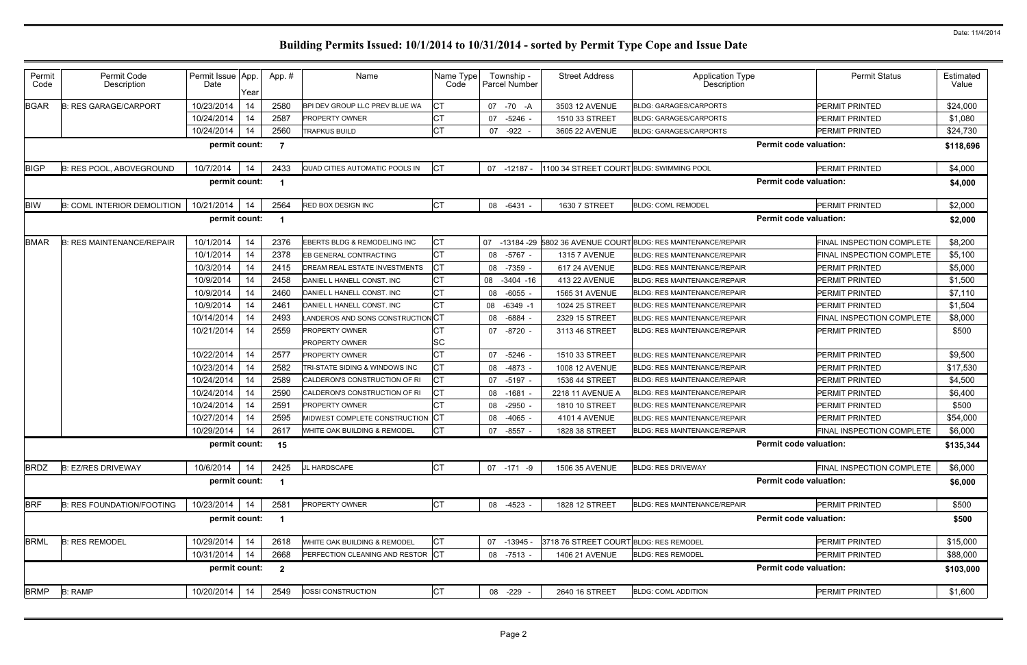| Permit<br>Code | Permit Code<br>Description         | Permit Issue App<br>Date | Year | App.#          | Name                              | Name Type<br>Code | Township -<br>Parcel Number | <b>Street Address</b>                   | <b>Application Type</b><br>Description                          | <b>Permit Status</b>          | Estimated<br>Value |
|----------------|------------------------------------|--------------------------|------|----------------|-----------------------------------|-------------------|-----------------------------|-----------------------------------------|-----------------------------------------------------------------|-------------------------------|--------------------|
| <b>BGAR</b>    | <b>B: RES GARAGE/CARPORT</b>       | 10/23/2014               | 14   | 2580           | BPI DEV GROUP LLC PREV BLUE WA    | CТ                | 07 - 70 - A                 | 3503 12 AVENUE                          | <b>BLDG: GARAGES/CARPORTS</b>                                   | <b>PERMIT PRINTED</b>         | \$24,000           |
|                |                                    | 10/24/2014               | 14   | 2587           | <b>PROPERTY OWNER</b>             | СT                | 07<br>-5246                 | 1510 33 STREET                          | <b>BLDG: GARAGES/CARPORTS</b>                                   | <b>PERMIT PRINTED</b>         | \$1,080            |
|                |                                    | 10/24/2014               | 14   | 2560           | <b>TRAPKUS BUILD</b>              | <b>CT</b>         | -922<br>07                  | 3605 22 AVENUE                          | <b>BLDG: GARAGES/CARPORTS</b>                                   | PERMIT PRINTED                | \$24,730           |
|                |                                    | permit count:            |      |                |                                   |                   |                             |                                         |                                                                 | <b>Permit code valuation:</b> | \$118,696          |
| <b>BIGP</b>    | B: RES POOL, ABOVEGROUND           | 10/7/2014                | 14   | 2433           | QUAD CITIES AUTOMATIC POOLS IN    | СT                | 07<br>-12187                | 100 34 STREET COURT BLDG: SWIMMING POOL |                                                                 | PERMIT PRINTED                | \$4,000            |
|                |                                    | permit count:            |      |                |                                   |                   |                             |                                         |                                                                 | <b>Permit code valuation:</b> | \$4,000            |
| <b>BIW</b>     | <b>B: COML INTERIOR DEMOLITION</b> | 10/21/2014               | 14   | 2564           | <b>RED BOX DESIGN INC</b>         | <b>CT</b>         | 08 -6431 -                  | 1630 7 STREET                           | <b>BLDG: COML REMODEL</b>                                       | PERMIT PRINTED                | \$2,000            |
|                |                                    | permit count:            |      |                |                                   |                   |                             |                                         |                                                                 | <b>Permit code valuation:</b> | \$2,000            |
| <b>BMAR</b>    | <b>B: RES MAINTENANCE/REPAIR</b>   | 10/1/2014                | 14   | 2376           | EBERTS BLDG & REMODELING INC      | <b>CT</b>         |                             |                                         | 07 -13184 -29 5802 36 AVENUE COURT BLDG: RES MAINTENANCE/REPAIR | FINAL INSPECTION COMPLETE     | \$8,200            |
|                |                                    | 10/1/2014                | 14   | 2378           | EB GENERAL CONTRACTING            | СT                | -5767<br>08                 | <b>1315 7 AVENUE</b>                    | <b>BLDG: RES MAINTENANCE/REPAIR</b>                             | FINAL INSPECTION COMPLETE     | \$5,100            |
|                |                                    | 10/3/2014                | 14   | 2415           | DREAM REAL ESTATE INVESTMENTS     | СT                | 08 -7359                    | <b>617 24 AVENUE</b>                    | <b>BLDG: RES MAINTENANCE/REPAIR</b>                             | <b>PERMIT PRINTED</b>         | \$5,000            |
|                |                                    | 10/9/2014                | 14   | 2458           | DANIEL L HANELL CONST. INC        | CТ                | $-3404 - 16$<br>08          | 413 22 AVENUE                           | <b>BLDG: RES MAINTENANCE/REPAIR</b>                             | PERMIT PRINTED                | \$1,500            |
|                |                                    | 10/9/2014                | 14   | 2460           | DANIEL L HANELL CONST. INC        | СT                | -6055<br>08                 | 1565 31 AVENUE                          | <b>BLDG: RES MAINTENANCE/REPAIR</b>                             | <b>PERMIT PRINTED</b>         | \$7,110            |
|                |                                    | 10/9/2014                | 14   | 2461           | DANIEL L HANELL CONST. INC        | <b>CT</b>         | $-6349 -1$<br>08            | 1024 25 STREET                          | <b>BLDG: RES MAINTENANCE/REPAIR</b>                             | <b>PERMIT PRINTED</b>         | \$1,504            |
|                |                                    | 10/14/2014               | 14   | 2493           | LANDEROS AND SONS CONSTRUCTION    | ۱CT               | -6884<br>08                 | 2329 15 STREET                          | <b>BLDG: RES MAINTENANCE/REPAIR</b>                             | FINAL INSPECTION COMPLETE     | \$8,000            |
|                |                                    | 10/21/2014               | 14   | 2559           | PROPERTY OWNER<br>PROPERTY OWNER  | СT<br>SC          | 07 -8720                    | 3113 46 STREET                          | <b>BLDG: RES MAINTENANCE/REPAIR</b>                             | PERMIT PRINTED                | \$500              |
|                |                                    | 10/22/2014               | 14   | 2577           | <b>PROPERTY OWNER</b>             | <b>CT</b>         | 07<br>-5246                 | 1510 33 STREET                          | <b>BLDG: RES MAINTENANCE/REPAIR</b>                             | PERMIT PRINTED                | \$9,500            |
|                |                                    | 10/23/2014               | 14   | 2582           | TRI-STATE SIDING & WINDOWS INC    | <b>CT</b>         | -4873<br>08                 | <b>1008 12 AVENUE</b>                   | <b>BLDG: RES MAINTENANCE/REPAIR</b>                             | PERMIT PRINTED                | \$17,530           |
|                |                                    | 10/24/2014               | 14   | 2589           | CALDERON'S CONSTRUCTION OF RI     | СТ                | $-5197$<br>07               | 1536 44 STREET                          | <b>BLDG: RES MAINTENANCE/REPAIR</b>                             | PERMIT PRINTED                | \$4,500            |
|                |                                    | 10/24/2014               | 14   | 2590           | CALDERON'S CONSTRUCTION OF RI     | СT                | $-1681$<br>08               | 2218 11 AVENUE A                        | <b>BLDG: RES MAINTENANCE/REPAIR</b>                             | PERMIT PRINTED                | \$6,400            |
|                |                                    | 10/24/2014               | 14   | 2591           | PROPERTY OWNER                    | СT                | 08<br>-2950                 | 1810 10 STREET                          | <b>BLDG: RES MAINTENANCE/REPAIR</b>                             | <b>PERMIT PRINTED</b>         | \$500              |
|                |                                    | 10/27/2014               | 14   | 2595           | MIDWEST COMPLETE CONSTRUCTION     | IСT               | -4065<br>08                 | <b>4101 4 AVENUE</b>                    | <b>BLDG: RES MAINTENANCE/REPAIR</b>                             | PERMIT PRINTED                | \$54,000           |
|                |                                    | 10/29/2014               | 14   | 2617           | WHITE OAK BUILDING & REMODEL      | СT                | $-8557$<br>07               | 1828 38 STREET                          | <b>BLDG: RES MAINTENANCE/REPAIR</b>                             | FINAL INSPECTION COMPLETE     | \$6,000            |
|                |                                    | permit count:            |      | 15             |                                   |                   |                             |                                         |                                                                 | <b>Permit code valuation:</b> | \$135,344          |
| <b>BRDZ</b>    | <b>B: EZ/RES DRIVEWAY</b>          | 10/6/2014                | 14   | 2425           | JL HARDSCAPE                      | <b>CT</b>         | 07 -171 -9                  | 1506 35 AVENUE                          | <b>BLDG: RES DRIVEWAY</b>                                       | FINAL INSPECTION COMPLETE     | \$6,000            |
|                |                                    | permit count:            |      | -1             |                                   |                   |                             |                                         |                                                                 | <b>Permit code valuation:</b> | \$6,000            |
| <b>BRF</b>     | <b>B: RES FOUNDATION/FOOTING</b>   | 10/23/2014               | 14   | 2581           | PROPERTY OWNER                    | <b>CT</b>         | 08<br>-4523                 | 1828 12 STREET                          | BLDG: RES MAINTENANCE/REPAIR                                    | PERMIT PRINTED                | \$500              |
|                |                                    | permit count:            |      | -1             |                                   |                   |                             |                                         |                                                                 | <b>Permit code valuation:</b> | \$500              |
| <b>BRML</b>    | <b>B: RES REMODEL</b>              | 10/29/2014               | 14   | 2618           | WHITE OAK BUILDING & REMODEL      | <b>CT</b>         | $-13945$<br>07              | 3718 76 STREET COURT BLDG: RES REMODEL  |                                                                 | PERMIT PRINTED                | \$15,000           |
|                |                                    | 10/31/2014               | 14   | 2668           | PERFECTION CLEANING AND RESTOR CT |                   | 08 -7513                    | 1406 21 AVENUE                          | <b>BLDG: RES REMODEL</b>                                        | PERMIT PRINTED                | \$88,000           |
|                |                                    | permit count:            |      | $\overline{2}$ |                                   |                   |                             |                                         |                                                                 | <b>Permit code valuation:</b> | \$103,000          |
| <b>BRMP</b>    | <b>B: RAMP</b>                     | 10/20/2014               | 14   | 2549           | IOSSI CONSTRUCTION                | <b>CT</b>         | 08 -229                     | 2640 16 STREET                          | <b>BLDG: COML ADDITION</b>                                      | PERMIT PRINTED                | \$1,600            |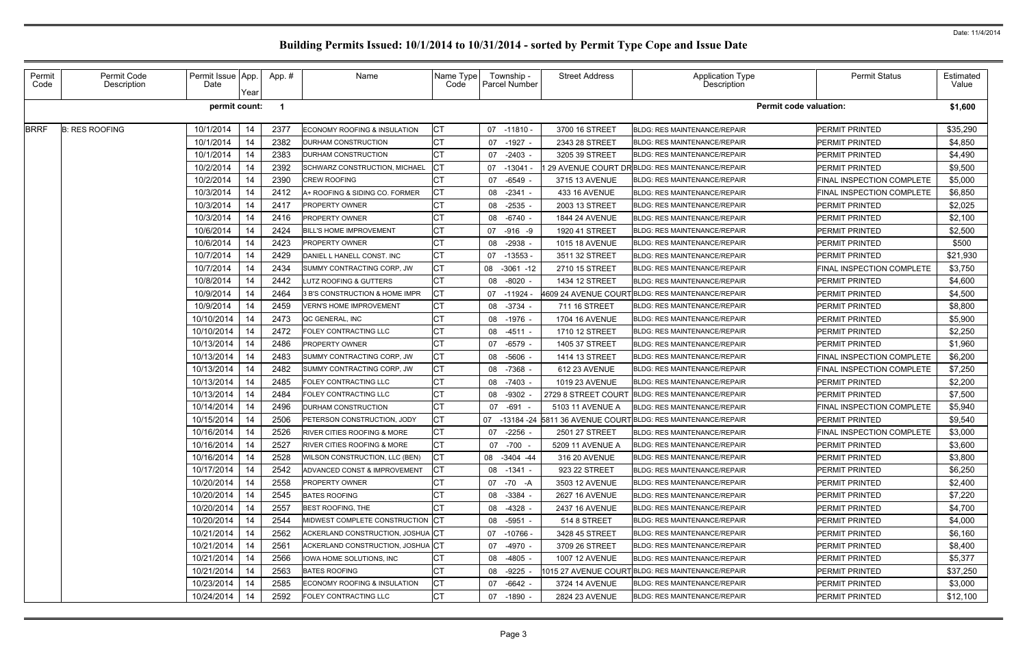|                               | <b>Permit Status</b>             | Estimated<br>Value |
|-------------------------------|----------------------------------|--------------------|
|                               |                                  |                    |
| <b>Permit code valuation:</b> |                                  | \$1,600            |
|                               | PERMIT PRINTED                   | \$35,290           |
|                               | PERMIT PRINTED                   | \$4,850            |
|                               | PERMIT PRINTED                   | \$4,490            |
|                               | PERMIT PRINTED                   | \$9,500            |
|                               | FINAL INSPECTION COMPLETE        | \$5,000            |
|                               | <b>FINAL INSPECTION COMPLETE</b> | \$6,850            |
|                               | PERMIT PRINTED                   | \$2,025            |
|                               | PERMIT PRINTED                   | \$2,100            |
|                               | PERMIT PRINTED                   | \$2,500            |
|                               | PERMIT PRINTED                   | \$500              |
|                               | PERMIT PRINTED                   | \$21,930           |
|                               | <b>FINAL INSPECTION COMPLETE</b> | \$3,750            |
|                               | PERMIT PRINTED                   | \$4,600            |
|                               | PERMIT PRINTED                   | \$4,500            |
|                               | PERMIT PRINTED                   | \$8,800            |
|                               | PERMIT PRINTED                   | \$5,900            |
|                               | PERMIT PRINTED                   | \$2,250            |
|                               | PERMIT PRINTED                   | \$1,960            |
|                               | FINAL INSPECTION COMPLETE        | \$6,200            |
|                               | FINAL INSPECTION COMPLETE        | \$7,250            |
|                               | PERMIT PRINTED                   | \$2,200            |
|                               | PERMIT PRINTED                   | \$7,500            |
|                               | FINAL INSPECTION COMPLETE        | \$5,940            |
|                               | PERMIT PRINTED                   | \$9,540            |
|                               | FINAL INSPECTION COMPLETE        | \$3,000            |
|                               | PERMIT PRINTED                   | \$3,600            |
|                               | PERMIT PRINTED                   | \$3,800            |
|                               | PERMIT PRINTED                   | \$6,250            |
|                               | PERMIT PRINTED                   | \$2,400            |
|                               | PERMIT PRINTED                   | \$7,220            |
|                               | PERMIT PRINTED                   | \$4,700            |
|                               | PERMIT PRINTED                   | \$4,000            |
|                               | PERMIT PRINTED                   | \$6,160            |
|                               | PERMIT PRINTED                   | \$8,400            |
|                               | PERMIT PRINTED                   | \$5,377            |
|                               | PERMIT PRINTED                   | \$37,250           |
|                               | PERMIT PRINTED                   | \$3,000            |
|                               | PERMIT PRINTED                   | \$12,100           |

#### Permit Code Permit Code Description Permit Issue Date App. Year App. # | Name Name Name Type Code Township - Parcel Number Street Address **Application Type** Description BRRF B: RES ROOFING | 10/1/2014 14 2377 ECONOMY ROOFING & INSULATION CT | 07 -11810 - 3700 16 STREET BLDG: RES MAINTENANCE/REPAIR 10/1/2014 | 14 | 2382 DURHAM CONSTRUCTION CT | 07 -1927 - | 2343 28 STREET BLDG: RES MAINTENANCE/REPAIR 10/1/2014 | 14 | 2383 DURHAM CONSTRUCTION CT | 07 -2403 - | 3205 39 STREET BLDG: RES MAINTENANCE/REPAIR 10/2/2014 | 14 | 2392 SCHWARZ CONSTRUCTION, MICHAEL CT | 07 -13041 - 129 AVENUE COURT DRBLDG: RES MAINTENANCE/REPAIR 10/2/2014 | 14 | 2390 CREW ROOFING CT | 07 -6549 - | 3715 13 AVENUE BLDG: RES MAINTENANCE/REPAIR 10/3/2014 14 2412 A+ ROOFING & SIDING CO. FORMER CT 108 -2341 - 433 16 AVENUE BLDG: RES MAINTENANCE/REPAIR 10/3/2014 | 14 | 2417 PROPERTY OWNER CT | 08 -2535 - | 2003 13 STREET BLDG: RES MAINTENANCE/REPAIR 10/3/2014 | 14 | 2416 PROPERTY OWNER CT | 08 -6740 - | 1844 24 AVENUE BLDG: RES MAINTENANCE/REPAIR 10/6/2014 | 14 | 2424 BILL'S HOME IMPROVEMENT | CT | 07 -916 -9 | 1920 41 STREET | BLDG: RES MAINTENANCE/REPAIR 10/6/2014 | 14 | 2423 PROPERTY OWNER CT | 08 -2938 - | 1015 18 AVENUE BLDG: RES MAINTENANCE/REPAIR 10/7/2014 | 14 | 2429 DANIEL L HANELL CONST. INC CT | 07 -13553 - | 3511 32 STREET BLDG: RES MAINTENANCE/REPAIR 10/7/2014 | 14 | 2434 SUMMY CONTRACTING CORP, JW CT | 08 -3061 -12 | 2710 15 STREET | BLDG: RES MAINTENANCE/REPAIR 10/8/2014 | 14 | 2442 LUTZ ROOFING & GUTTERS CT | 08 -8020 - | 1434 12 STREET BLDG: RES MAINTENANCE/REPAIR 10/9/2014 | 14 | 2464 | 3 B'S CONSTRUCTION & HOME IMPR  $|CT|$  07 -11924 - 4609 24 AVENUE COURT BLDG: RES MAINTENANCE/REPAIR 10/9/2014 | 14 | 2459 VERN'S HOME IMPROVEMENT | CT | 08 -3734 - | 711 16 STREET | BLDG: RES MAINTENANCE/REPAIR 10/10/2014 | 14 | 2473 QC GENERAL, INC CT | 08 -1976 - | 1704 16 AVENUE |BLDG: RES MAINTENANCE/REPAIR 10/10/2014 | 14 | 2472 FOLEY CONTRACTING LLC CT | 08 -4511 - | 1710 12 STREET |BLDG: RES MAINTENANCE/REPAIR 10/13/2014 | 14 | 2486 PROPERTY OWNER CT | 07 -6579 - | 1405 37 STREET |BLDG: RES MAINTENANCE/REPAIR 10/13/2014 14 2483 SUMMY CONTRACTING CORP, JW CT 108 -5606 - 1414 13 STREET BLDG: RES MAINTENANCE/REPAIR 10/13/2014 14 2482 SUMMY CONTRACTING CORP, JW CT 08 -7368 - 612 23 AVENUE BLDG: RES MAINTENANCE/REPAIR 10/13/2014 | 14 | 2485 FOLEY CONTRACTING LLC **CT** 108 -7403 - 1019 23 AVENUE BLDG: RES MAINTENANCE/REPAIR 10/13/2014 | 14 | 2484 FOLEY CONTRACTING LLC | CT | 08 -9302 - 2729 8 STREET COURT BLDG: RES MAINTENANCE/REPAIR 10/14/2014 | 14 | 2496 DURHAM CONSTRUCTION CT | 07 -691 - | 5103 11 AVENUE A BLDG: RES MAINTENANCE/REPAIR 10/15/2014 14 2506 PETERSON CONSTRUCTION, JODY CT 13184 -24 5811 36 AVENUE COURT BLDG: RES MAINTENANCE/REPAIR 10/16/2014 14 2526 RIVER CITIES ROOFING & MORE CT 107 -2256 - 2501 27 STREET BLDG: RES MAINTENANCE/REPAIR 10/16/2014 | 14 | 2527 RIVER CITIES ROOFING & MORE CT | 07 -700 - | 5209 11 AVENUE A BLDG: RES MAINTENANCE/REPAIR 10/16/2014 14 2528 WILSON CONSTRUCTION, LLC (BEN) CT 108 -3404 -44 316 20 AVENUE BLDG: RES MAINTENANCE/REPAIR 10/17/2014 14 2542 ADVANCED CONST & IMPROVEMENT CT | 08 -1341 - 923 22 STREET |BLDG: RES MAINTENANCE/REPAIR 10/20/2014 | 14 | 2558 PROPERTY OWNER CT | 07 -70 -A | 3503 12 AVENUE BLDG: RES MAINTENANCE/REPAIR 10/20/2014 | 14 | 2545 BATES ROOFING CT | 08 -3384 - | 2627 16 AVENUE BLDG: RES MAINTENANCE/REPAIR 10/20/2014 14 2557 BEST ROOFING, THE CT 108 -4328 - 2437 16 AVENUE BLDG: RES MAINTENANCE/REPAIR 10/20/2014 | 14 | 2544 MIDWEST COMPLETE CONSTRUCTION CT | 08 -5951 - | 514 8 STREET | BLDG: RES MAINTENANCE/REPAIR 10/21/2014 | 14 | 2562 ACKERLAND CONSTRUCTION, JOSHUA CT | 07 -10766 - | 3428 45 STREET |BLDG: RES MAINTENANCE/REPAIR 10/21/2014 | 14 | 2561 ACKERLAND CONSTRUCTION, JOSHUA CT | 07 -4970 - | 3709 26 STREET |BLDG: RES MAINTENANCE/REPAIR 10/21/2014 | 14 | 2566 IOWA HOME SOLUTIONS, INC **CT** 108 -4805 - | 1007 12 AVENUE BLDG: RES MAINTENANCE/REPAIR 10/21/2014 | 14 | 2563 BATES ROOFING CT | 08 -9225 - 1015 27 AVENUE COURT BLDG: RES MAINTENANCE/REPAIR 10/23/2014 | 14 | 2585 ECONOMY ROOFING & INSULATION CT | 07 -6642 - | 3724 14 AVENUE |BLDG: RES MAINTENANCE/REPAIR 10/24/2014 | 14 | 2592 FOLEY CONTRACTING LLC CT | 07 -1890 - | 2824 23 AVENUE BLDG: RES MAINTENANCE/REPAIR **permit count: 1 Permit code valuation: \$1,600**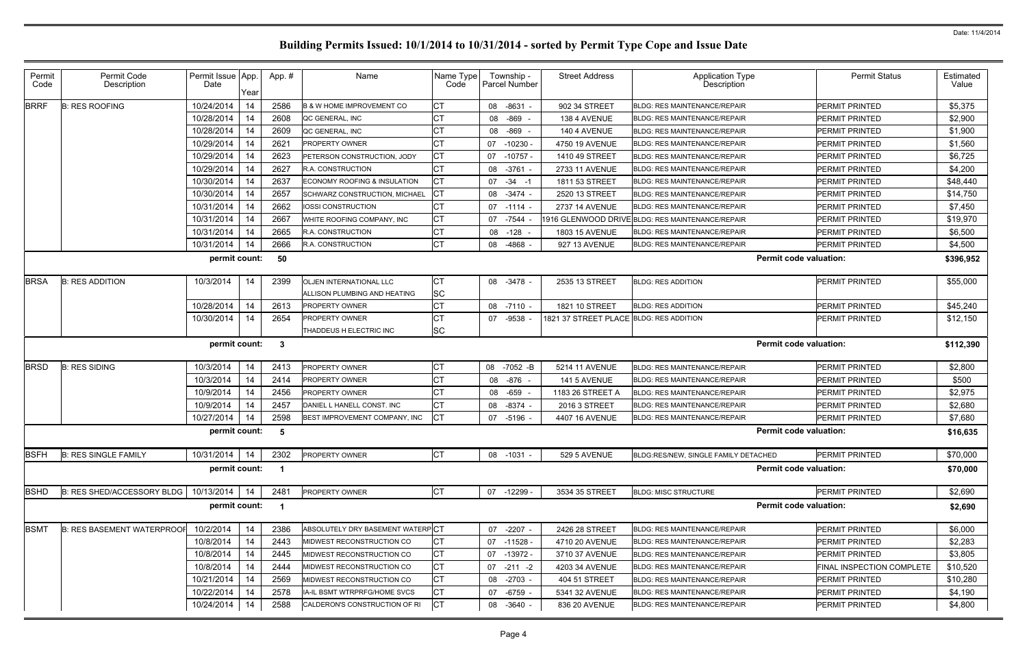| Permit<br>Code | Permit Code<br>Description       | Permit Issue App.<br>Date | Year | App.#        | Name                                                           | Name Type<br>Code      | Township -<br>Parcel Number | <b>Street Address</b>                   | <b>Application Type</b><br>Description           | <b>Permit Status</b>      | Estimated<br>Value |
|----------------|----------------------------------|---------------------------|------|--------------|----------------------------------------------------------------|------------------------|-----------------------------|-----------------------------------------|--------------------------------------------------|---------------------------|--------------------|
| <b>BRRF</b>    | <b>B: RES ROOFING</b>            | 10/24/2014                | 14   | 2586         | <b>B &amp; W HOME IMPROVEMENT CO</b>                           | <b>CT</b>              | 08 -8631                    | 902 34 STREET                           | <b>BLDG: RES MAINTENANCE/REPAIR</b>              | PERMIT PRINTED            | \$5,375            |
|                |                                  | 10/28/2014                | 14   | 2608         | QC GENERAL, INC                                                | СT                     | -869<br>08                  | 138 4 AVENUE                            | <b>BLDG: RES MAINTENANCE/REPAIR</b>              | PERMIT PRINTED            | \$2,900            |
|                |                                  | 10/28/2014                | 14   | 2609         | QC GENERAL, INC                                                | СT                     | -869<br>08                  | 140 4 AVENUE                            | <b>BLDG: RES MAINTENANCE/REPAIR</b>              | PERMIT PRINTED            | \$1,900            |
|                |                                  | 10/29/2014                | 14   | 262'         | <b>PROPERTY OWNER</b>                                          | <b>CT</b>              | 07<br>-10230                | 4750 19 AVENUE                          | <b>BLDG: RES MAINTENANCE/REPAIR</b>              | PERMIT PRINTED            | \$1,560            |
|                |                                  | 10/29/2014                | 14   | 2623         | PETERSON CONSTRUCTION, JODY                                    | <b>CT</b>              | 07<br>$-10757$              | 1410 49 STREET                          | <b>BLDG: RES MAINTENANCE/REPAIR</b>              | PERMIT PRINTED            | \$6,725            |
|                |                                  | 10/29/2014                | 14   | 2627         | <b>R.A. CONSTRUCTION</b>                                       | СT                     | -3761<br>08                 | 2733 11 AVENUE                          | <b>BLDG: RES MAINTENANCE/REPAIR</b>              | PERMIT PRINTED            | \$4,200            |
|                |                                  | 10/30/2014                | 14   | 2637         | ECONOMY ROOFING & INSULATION                                   | <b>CT</b>              | $07 - 34 - 1$               | 1811 53 STREET                          | <b>BLDG: RES MAINTENANCE/REPAIR</b>              | <b>PERMIT PRINTED</b>     | \$48,440           |
|                |                                  | 10/30/2014                | 14   | 2657         | SCHWARZ CONSTRUCTION, MICHAEL                                  | СT                     | 08 -3474                    | 2520 13 STREET                          | <b>BLDG: RES MAINTENANCE/REPAIR</b>              | PERMIT PRINTED            | \$14,750           |
|                |                                  | 10/31/2014                | 14   | 2662         | IOSSI CONSTRUCTION                                             | <b>CT</b>              | 07 -1114                    | 2737 14 AVENUE                          | <b>BLDG: RES MAINTENANCE/REPAIR</b>              | PERMIT PRINTED            | \$7,450            |
|                |                                  | 10/31/2014                | 14   | 2667         | WHITE ROOFING COMPANY, INC                                     | <b>CT</b>              | 07<br>-7544                 |                                         | 1916 GLENWOOD DRIVE BLDG: RES MAINTENANCE/REPAIR | <b>PERMIT PRINTED</b>     | \$19,970           |
|                |                                  | 10/31/2014                | 14   | 2665         | <b>R.A. CONSTRUCTION</b>                                       | СT                     | 08 -128                     | <b>1803 15 AVENUE</b>                   | <b>BLDG: RES MAINTENANCE/REPAIR</b>              | PERMIT PRINTED            | \$6,500            |
|                |                                  | 10/31/2014                | 14   | 2666         | R.A. CONSTRUCTION                                              | <b>CT</b>              | -4868<br>08                 | 927 13 AVENUE                           | BLDG: RES MAINTENANCE/REPAIR                     | PERMIT PRINTED            | \$4,500            |
|                |                                  | permit count:             |      | 50           |                                                                |                        |                             |                                         | <b>Permit code valuation:</b>                    |                           | \$396,952          |
| <b>BRSA</b>    | <b>B: RES ADDITION</b>           | 10/3/2014                 | 14   | 2399         | <b>OLJEN INTERNATIONAL LLC</b><br>ALLISON PLUMBING AND HEATING | <b>CT</b><br><b>SC</b> | 08 -3478 -                  | 2535 13 STREET                          | <b>BLDG: RES ADDITION</b>                        | <b>PERMIT PRINTED</b>     | \$55,000           |
|                |                                  | 10/28/2014                | 14   | 2613         | <b>PROPERTY OWNER</b>                                          | СT                     | 08 -7110                    | 1821 10 STREET                          | <b>BLDG: RES ADDITION</b>                        | PERMIT PRINTED            | \$45,240           |
|                |                                  | 10/30/2014                | 14   | 2654         | <b>PROPERTY OWNER</b>                                          | СT                     | -9538<br>07                 | 1821 37 STREET PLACE BLDG: RES ADDITION |                                                  | <b>PERMIT PRINTED</b>     | \$12,150           |
|                |                                  |                           |      |              | THADDEUS H ELECTRIC INC                                        | <b>SC</b>              |                             |                                         |                                                  |                           |                    |
|                |                                  | permit count:             |      | $\mathbf{3}$ |                                                                |                        |                             |                                         | <b>Permit code valuation:</b>                    |                           | \$112,390          |
| <b>BRSD</b>    | <b>B: RES SIDING</b>             | 10/3/2014                 | 14   | 2413         | PROPERTY OWNER                                                 | CT                     | 08 -7052 -B                 | 5214 11 AVENUE                          | <b>BLDG: RES MAINTENANCE/REPAIR</b>              | PERMIT PRINTED            | \$2,800            |
|                |                                  | 10/3/2014                 | 14   | 2414         | PROPERTY OWNER                                                 | CT                     | -876<br>08                  | 141 5 AVENUE                            | <b>BLDG: RES MAINTENANCE/REPAIR</b>              | PERMIT PRINTED            | \$500              |
|                |                                  | 10/9/2014                 | 14   | 2456         | <b>PROPERTY OWNER</b>                                          | CT                     | -659<br>08                  | 1183 26 STREET A                        | <b>BLDG: RES MAINTENANCE/REPAIR</b>              | PERMIT PRINTED            | \$2,975            |
|                |                                  | 10/9/2014                 | 14   | 2457         | DANIEL L HANELL CONST. INC                                     | CT                     | 08<br>-8374                 | 2016 3 STREET                           | <b>BLDG: RES MAINTENANCE/REPAIR</b>              | PERMIT PRINTED            | \$2,680            |
|                |                                  | 10/27/2014                | 14   | 2598         | BEST IMPROVEMENT COMPANY, INC                                  | <b>CT</b>              | 07 -5196                    | 4407 16 AVENUE                          | <b>BLDG: RES MAINTENANCE/REPAIR</b>              | PERMIT PRINTED            | \$7,680            |
|                |                                  | permit count:             |      | -5           |                                                                |                        |                             |                                         | <b>Permit code valuation:</b>                    |                           | \$16,635           |
| <b>BSFH</b>    | <b>B: RES SINGLE FAMILY</b>      | 10/31/2014                | 14   | 2302         | PROPERTY OWNER                                                 | <b>CT</b>              | 08 -1031                    | 529 5 AVENUE                            | BLDG:RES/NEW, SINGLE FAMILY DETACHED             | PERMIT PRINTED            | \$70,000           |
|                |                                  | permit count:             |      |              |                                                                |                        |                             |                                         | <b>Permit code valuation:</b>                    |                           | \$70,000           |
| <b>BSHD</b>    | B: RES SHED/ACCESSORY BLDG       | 10/13/2014                | 14   | 2481         | <b>PROPERTY OWNER</b>                                          | <b>CT</b>              | 07 -12299                   | 3534 35 STREET                          | <b>BLDG: MISC STRUCTURE</b>                      | PERMIT PRINTED            | \$2,690            |
|                |                                  | permit count:             |      |              |                                                                |                        |                             |                                         | <b>Permit code valuation:</b>                    |                           | \$2,690            |
| <b>BSMT</b>    | <b>B: RES BASEMENT WATERPROO</b> | 10/2/2014                 | 14   | 2386         | ABSOLUTELY DRY BASEMENT WATERPCT                               |                        | 07 -2207 -                  | 2426 28 STREET                          | <b>BLDG: RES MAINTENANCE/REPAIR</b>              | PERMIT PRINTED            | \$6,000            |
|                |                                  | 10/8/2014                 | 14   | 2443         | MIDWEST RECONSTRUCTION CO                                      | СT                     | 07 -11528                   | 4710 20 AVENUE                          | <b>BLDG: RES MAINTENANCE/REPAIR</b>              | PERMIT PRINTED            | \$2,283            |
|                |                                  | 10/8/2014                 | 14   | 2445         | MIDWEST RECONSTRUCTION CO                                      | <b>CT</b>              | 07 -13972 -                 | 3710 37 AVENUE                          | <b>BLDG: RES MAINTENANCE/REPAIR</b>              | PERMIT PRINTED            | \$3,805            |
|                |                                  | 10/8/2014                 | 14   | 2444         | MIDWEST RECONSTRUCTION CO                                      | CT                     | $07 - 211 - 2$              | 4203 34 AVENUE                          | <b>BLDG: RES MAINTENANCE/REPAIR</b>              | FINAL INSPECTION COMPLETE | \$10,520           |
|                |                                  | 10/21/2014                | 14   | 2569         | MIDWEST RECONSTRUCTION CO                                      | <b>CT</b>              | 08 -2703                    | 404 51 STREET                           | <b>BLDG: RES MAINTENANCE/REPAIR</b>              | PERMIT PRINTED            | \$10,280           |
|                |                                  | 10/22/2014                | 14   | 2578         | IA-IL BSMT WTRPRFG/HOME SVCS                                   | СT                     | 07 -6759                    | 5341 32 AVENUE                          | <b>BLDG: RES MAINTENANCE/REPAIR</b>              | <b>PERMIT PRINTED</b>     | \$4,190            |
|                |                                  | 10/24/2014                | 14   | 2588         | CALDERON'S CONSTRUCTION OF RI                                  | <b>CT</b>              | 08 -3640 -                  | 836 20 AVENUE                           | <b>BLDG: RES MAINTENANCE/REPAIR</b>              | PERMIT PRINTED            | \$4,800            |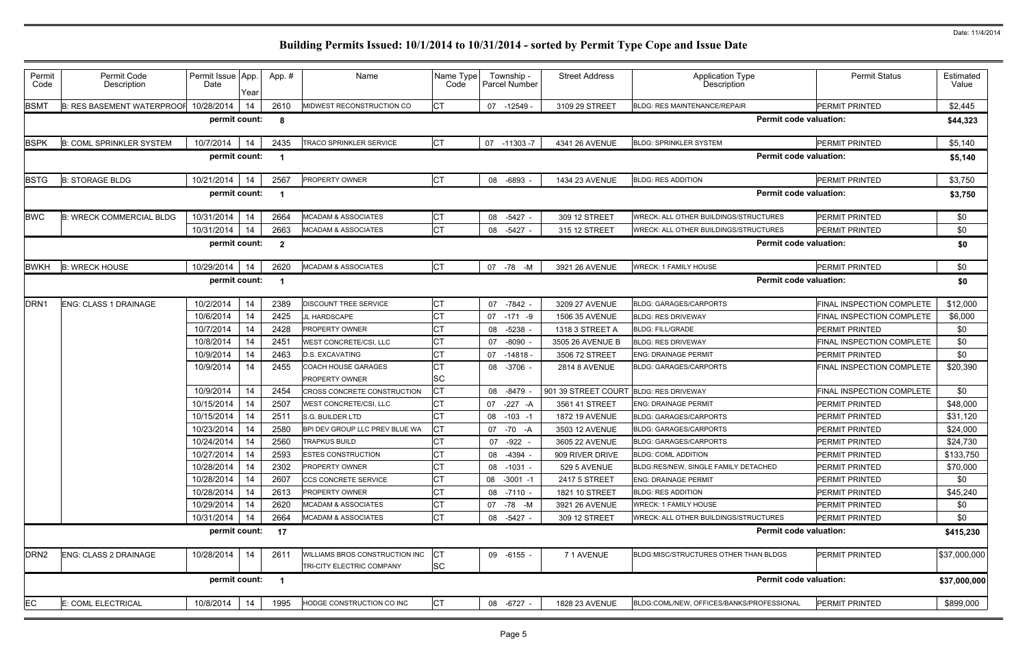| Permit<br>Code   | Permit Code<br>Description        | Permit Issue App.<br>Date | Year | App. #                   | Name                                                        | Name Type<br>Code | Township -<br>Parcel Number | <b>Street Address</b> | <b>Application Type</b><br>Description | <b>Permit Status</b>      | Estimated<br>Value |
|------------------|-----------------------------------|---------------------------|------|--------------------------|-------------------------------------------------------------|-------------------|-----------------------------|-----------------------|----------------------------------------|---------------------------|--------------------|
| <b>BSMT</b>      | <b>B: RES BASEMENT WATERPROOF</b> | 10/28/2014                | 14   | 2610                     | MIDWEST RECONSTRUCTION CO                                   | IСТ               | 07 -12549 -                 | 3109 29 STREET        | <b>BLDG: RES MAINTENANCE/REPAIR</b>    | <b>PERMIT PRINTED</b>     | \$2,445            |
|                  |                                   | permit count:             |      | - 8                      |                                                             |                   |                             |                       | <b>Permit code valuation:</b>          |                           | \$44,323           |
| <b>BSPK</b>      | <b>B: COML SPRINKLER SYSTEM</b>   | 10/7/2014                 | 14   | 2435                     | <b>TRACO SPRINKLER SERVICE</b>                              |                   | 07 -11303 -7                | 4341 26 AVENUE        | <b>BLDG: SPRINKLER SYSTEM</b>          | <b>PERMIT PRINTED</b>     | \$5,140            |
|                  |                                   | permit count:             |      |                          |                                                             |                   |                             |                       | <b>Permit code valuation:</b>          |                           | \$5,140            |
| <b>BSTG</b>      | <b>B: STORAGE BLDG</b>            | 10/21/2014                | 14   | 2567                     | <b>PROPERTY OWNER</b>                                       | IСТ               | 08 -6893                    | 1434 23 AVENUE        | <b>BLDG: RES ADDITION</b>              | <b>PERMIT PRINTED</b>     | \$3,750            |
|                  |                                   | permit count:             |      |                          |                                                             |                   |                             |                       | <b>Permit code valuation:</b>          |                           | \$3,750            |
| <b>BWC</b>       | <b>B: WRECK COMMERCIAL BLDG</b>   | 10/31/2014                | 14   | 2664                     | <b>MCADAM &amp; ASSOCIATES</b>                              | CТ                | 08 -5427 -                  | 309 12 STREET         | WRECK: ALL OTHER BUILDINGS/STRUCTURES  | <b>PERMIT PRINTED</b>     | \$0                |
|                  |                                   | 10/31/2014                | 14   | 2663                     | <b>MCADAM &amp; ASSOCIATES</b>                              | <b>CT</b>         | 08 -5427                    | 315 12 STREET         | WRECK: ALL OTHER BUILDINGS/STRUCTURES  | PERMIT PRINTED            | \$0                |
|                  |                                   | permit count:             |      | $\overline{\mathbf{2}}$  |                                                             |                   |                             |                       | <b>Permit code valuation:</b>          |                           | \$0                |
| <b>BWKH</b>      | <b>B: WRECK HOUSE</b>             | 10/29/2014                | 14   | 2620                     | <b>MCADAM &amp; ASSOCIATES</b>                              | CT                | 07 -78 -M                   | 3921 26 AVENUE        | <b>WRECK: 1 FAMILY HOUSE</b>           | PERMIT PRINTED            | \$0                |
|                  |                                   | permit count:             |      | - 1                      |                                                             |                   |                             |                       | <b>Permit code valuation:</b>          |                           | \$0                |
| DRN <sub>1</sub> | ENG: CLASS 1 DRAINAGE             | 10/2/2014                 | 14   | 2389                     | <b>DISCOUNT TREE SERVICE</b>                                |                   | 07 -7842                    | 3209 27 AVENUE        | <b>BLDG: GARAGES/CARPORTS</b>          | FINAL INSPECTION COMPLETE | \$12,000           |
|                  |                                   | 10/6/2014                 | 14   | 2425                     | JL HARDSCAPE                                                |                   | 07 -171 -9                  | 1506 35 AVENUE        | <b>BLDG: RES DRIVEWAY</b>              | FINAL INSPECTION COMPLETE | \$6,000            |
|                  |                                   | 10/7/2014                 | 14   | 2428                     | <b>PROPERTY OWNER</b>                                       |                   | -5238<br>08                 | 1318 3 STREET A       | <b>BLDG: FILL/GRADE</b>                | <b>PERMIT PRINTED</b>     | \$0                |
|                  |                                   | 10/8/2014                 | 14   | 2451                     | <b>WEST CONCRETE/CSI, LLC</b>                               |                   | $-8090$<br>07               | 3505 26 AVENUE B      | <b>BLDG: RES DRIVEWAY</b>              | FINAL INSPECTION COMPLETE | \$0                |
|                  |                                   | 10/9/2014                 | 14   | 2463                     | <b>D.S. EXCAVATING</b>                                      |                   | 07<br>$-14818$              | 3506 72 STREET        | <b>ENG: DRAINAGE PERMIT</b>            | PERMIT PRINTED            | \$0                |
|                  |                                   | 10/9/2014                 | 14   | 2455                     | <b>COACH HOUSE GARAGES</b><br><b>PROPERTY OWNER</b>         | <b>SC</b>         | 08 -3706 -                  | <b>2814 8 AVENUE</b>  | <b>BLDG: GARAGES/CARPORTS</b>          | FINAL INSPECTION COMPLETE | \$20,390           |
|                  |                                   | 10/9/2014                 | 14   | 2454                     | CROSS CONCRETE CONSTRUCTION                                 |                   | 08 -8479                    | 901 39 STREET COURT   | <b>BLDG: RES DRIVEWAY</b>              | FINAL INSPECTION COMPLETE | \$0                |
|                  |                                   | 10/15/2014                | 14   | 2507                     | WEST CONCRETE/CSI, LLC                                      |                   | $-227 - A$<br>07            | 3561 41 STREET        | <b>ENG: DRAINAGE PERMIT</b>            | <b>PERMIT PRINTED</b>     | \$48,000           |
|                  |                                   | 10/15/2014                | 14   | 2511                     | S.G. BUILDER LTD                                            |                   | $-103 - 1$<br>08            | <b>1872 19 AVENUE</b> | <b>BLDG: GARAGES/CARPORTS</b>          | PERMIT PRINTED            | \$31,120           |
|                  |                                   | 10/23/2014                | 14   | 2580                     | BPI DEV GROUP LLC PREV BLUE WA                              |                   | 07 - 70 - A                 | 3503 12 AVENUE        | <b>BLDG: GARAGES/CARPORTS</b>          | <b>PERMIT PRINTED</b>     | \$24,000           |
|                  |                                   | 10/24/2014                | 14   | 2560                     | <b>TRAPKUS BUILD</b>                                        | ЮI                | 07 -922 -                   | 3605 22 AVENUE        | <b>BLDG: GARAGES/CARPORTS</b>          | PERMIT PRINTED            | \$24,730           |
|                  |                                   | 10/27/2014                | 14   | 2593                     | <b>ESTES CONSTRUCTION</b>                                   | <b>CT</b>         | 08 -4394 -                  | 909 RIVER DRIVE       | <b>BLDG: COML ADDITION</b>             | PERMIT PRINTED            | \$133,750          |
|                  |                                   | 10/28/2014                | 14   | 2302                     | <b>PROPERTY OWNER</b>                                       |                   | 08 -1031 -                  | 529 5 AVENUE          | BLDG:RES/NEW, SINGLE FAMILY DETACHED   | PERMIT PRINTED            | \$70,000           |
|                  |                                   | 10/28/2014                | 14   | 2607                     | CCS CONCRETE SERVICE                                        |                   | 08 -3001 -1                 | 2417 5 STREET         | <b>ENG: DRAINAGE PERMIT</b>            | PERMIT PRINTED            | \$0                |
|                  |                                   | 10/28/2014                | 14   | 2613                     | <b>PROPERTY OWNER</b>                                       |                   | 08 -7110 -                  | 1821 10 STREET        | <b>BLDG: RES ADDITION</b>              | PERMIT PRINTED            | \$45,240           |
|                  |                                   | 10/29/2014                | 14   | 2620                     | <b>MCADAM &amp; ASSOCIATES</b>                              | CТ                | 07 -78 -M                   | 3921 26 AVENUE        | <b>WRECK: 1 FAMILY HOUSE</b>           | <b>PERMIT PRINTED</b>     | \$0                |
|                  |                                   | 10/31/2014                | -14  | 2664                     | <b>MCADAM &amp; ASSOCIATES</b>                              | <b>CT</b>         | 08 -5427 -                  | 309 12 STREET         | WRECK: ALL OTHER BUILDINGS/STRUCTURES  | PERMIT PRINTED            | \$0                |
|                  |                                   | permit count:             |      | 17                       |                                                             |                   |                             |                       | <b>Permit code valuation:</b>          |                           | \$415,230          |
| DRN <sub>2</sub> | ENG: CLASS 2 DRAINAGE             | 10/28/2014                | 14   | 2611                     | WILLIAMS BROS CONSTRUCTION INC<br>TRI-CITY ELECTRIC COMPANY | <b>SC</b>         | 09 -6155 -                  | 71 AVENUE             | BLDG:MISC/STRUCTURES OTHER THAN BLDGS  | PERMIT PRINTED            | \$37,000,000       |
|                  |                                   | permit count:             |      | $\overline{\phantom{0}}$ |                                                             |                   |                             |                       | <b>Permit code valuation:</b>          |                           | \$37,000,000       |
|                  |                                   |                           |      |                          |                                                             |                   |                             |                       |                                        |                           |                    |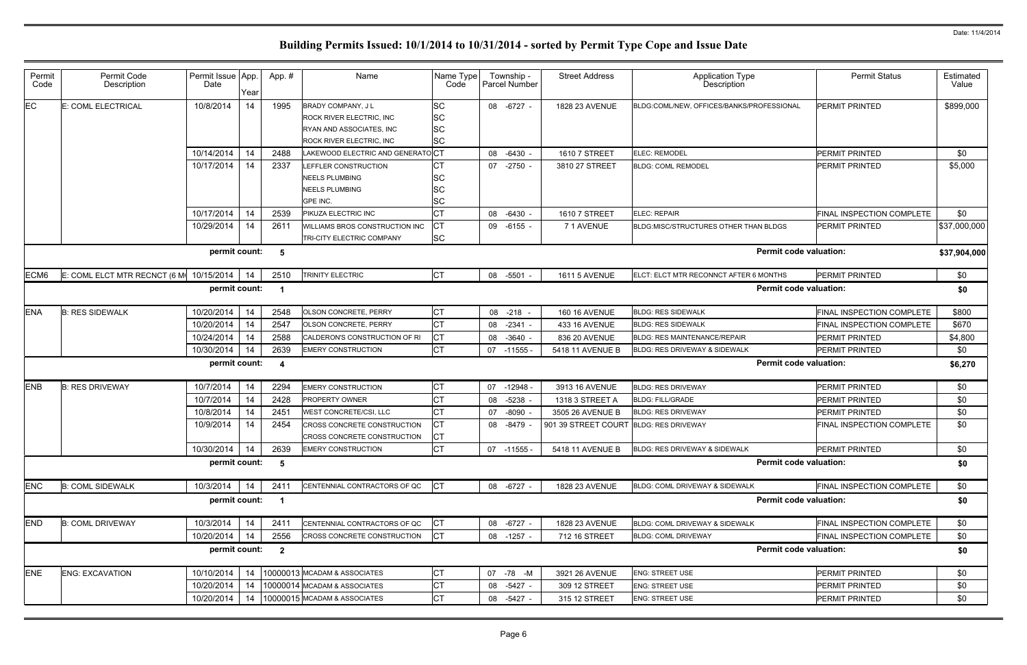|                               | <b>Permit Status</b>             | Estimated<br>Value |
|-------------------------------|----------------------------------|--------------------|
| <b>ROFESSIONAL</b>            | PERMIT PRINTED                   | \$899,000          |
|                               | PERMIT PRINTED                   | \$0                |
|                               | PERMIT PRINTED                   | \$5,000            |
|                               | FINAL INSPECTION COMPLETE        | \$0                |
| <b>N BLDGS</b>                | PERMIT PRINTED                   | \$37,000,000       |
| <b>Permit code valuation:</b> |                                  | \$37,904,000       |
| <b>MONTHS</b>                 | PERMIT PRINTED                   | \$0                |
| <b>Permit code valuation:</b> |                                  | \$0                |
|                               | FINAL INSPECTION COMPLETE        | \$800              |
|                               | FINAL INSPECTION COMPLETE        | \$670              |
|                               | PERMIT PRINTED                   | \$4,800            |
|                               | PERMIT PRINTED                   | \$0                |
| <b>Permit code valuation:</b> |                                  | \$6,270            |
|                               | PERMIT PRINTED                   | \$0                |
|                               | PERMIT PRINTED                   | \$0                |
|                               | PERMIT PRINTED                   | \$0                |
|                               | <b>FINAL INSPECTION COMPLETE</b> | \$0                |
|                               | PERMIT PRINTED                   | \$0                |
| <b>Permit code valuation:</b> |                                  | \$0                |
|                               | FINAL INSPECTION COMPLETE        | \$0                |
| <b>Permit code valuation:</b> |                                  | \$0                |
|                               | <b>FINAL INSPECTION COMPLETE</b> | \$0                |
|                               | FINAL INSPECTION COMPLETE        | \$0                |
| <b>Permit code valuation:</b> |                                  | \$0                |
|                               |                                  |                    |
|                               | PERMIT PRINTED                   | \$0                |
|                               | PERMIT PRINTED                   | \$0                |

| Permit<br>Code | Permit Code<br>Description               | Permit Issue App.<br>Date | Year | App.#                   | Name                                                                                                            | Name Type<br>Code           | Township -<br>Parcel Number | <b>Street Address</b>                  | <b>Application Type</b><br>Description    | <b>Permit Status</b>      | Estimated<br>Value |
|----------------|------------------------------------------|---------------------------|------|-------------------------|-----------------------------------------------------------------------------------------------------------------|-----------------------------|-----------------------------|----------------------------------------|-------------------------------------------|---------------------------|--------------------|
| EC             | E: COML ELECTRICAL                       | 10/8/2014                 | 14   | 1995                    | BRADY COMPANY, J L<br><b>ROCK RIVER ELECTRIC, INC.</b><br>RYAN AND ASSOCIATES, INC.<br>ROCK RIVER ELECTRIC, INC | <b>SC</b><br>SC<br>SC<br>SC | 08 -6727 -                  | 1828 23 AVENUE                         | BLDG:COML/NEW, OFFICES/BANKS/PROFESSIONAL | <b>PERMIT PRINTED</b>     | \$899,000          |
|                |                                          | 10/14/2014                | 14   | 2488                    | LAKEWOOD ELECTRIC AND GENERATOCT                                                                                |                             | 08<br>$-6430 -$             | 1610 7 STREET                          | <b>ELEC: REMODEL</b>                      | PERMIT PRINTED            | \$0                |
|                |                                          | 10/17/2014                | 14   | 2337                    | LEFFLER CONSTRUCTION<br><b>NEELS PLUMBING</b><br><b>NEELS PLUMBING</b><br>GPE INC.                              | СT<br>SC<br>SC              | $-2750 -$<br>07             | 3810 27 STREET                         | <b>BLDG: COML REMODEL</b>                 | <b>PERMIT PRINTED</b>     | \$5,000            |
|                |                                          | 10/17/2014                | 14   | 2539                    | PIKUZA ELECTRIC INC                                                                                             | <b>CT</b>                   | 08 -6430 -                  | 1610 7 STREET                          | <b>ELEC: REPAIR</b>                       | FINAL INSPECTION COMPLETE | \$0                |
|                |                                          | 10/29/2014                | 14   | 2611                    | WILLIAMS BROS CONSTRUCTION INC<br>TRI-CITY ELECTRIC COMPANY                                                     | СT<br><b>SC</b>             | $-6155 -$<br>09             | 71 AVENUE                              | BLDG:MISC/STRUCTURES OTHER THAN BLDGS     | <b>PERMIT PRINTED</b>     | \$37,000,000       |
|                |                                          | permit count:             |      | 5                       |                                                                                                                 |                             |                             |                                        | <b>Permit code valuation:</b>             |                           | \$37,904,000       |
| ECM6           | E: COML ELCT MTR RECNCT (6 MI 10/15/2014 |                           | 14   | 2510                    | <b>TRINITY ELECTRIC</b>                                                                                         | <b>CT</b>                   | 08 -5501 -                  | <b>1611 5 AVENUE</b>                   | ELCT: ELCT MTR RECONNCT AFTER 6 MONTHS    | PERMIT PRINTED            | \$0                |
|                |                                          | permit count:             |      |                         |                                                                                                                 |                             |                             |                                        | <b>Permit code valuation:</b>             |                           | \$0                |
| <b>ENA</b>     | <b>B: RES SIDEWALK</b>                   | 10/20/2014                | 14   | 2548                    | OLSON CONCRETE, PERRY                                                                                           | <b>CT</b>                   | 08<br>$-218 -$              | <b>160 16 AVENUE</b>                   | <b>BLDG: RES SIDEWALK</b>                 | FINAL INSPECTION COMPLETE | \$800              |
|                |                                          | 10/20/2014                | 14   | 2547                    | OLSON CONCRETE, PERRY                                                                                           | <b>CT</b>                   | $-2341 -$<br>08             | 433 16 AVENUE                          | <b>BLDG: RES SIDEWALK</b>                 | FINAL INSPECTION COMPLETE | \$670              |
|                |                                          | 10/24/2014                | 14   | 2588                    | CALDERON'S CONSTRUCTION OF RI                                                                                   | <b>CT</b>                   | $-3640 -$<br>08             | 836 20 AVENUE                          | <b>BLDG: RES MAINTENANCE/REPAIR</b>       | <b>PERMIT PRINTED</b>     | \$4,800            |
|                |                                          | 10/30/2014                | 14   | 2639                    | <b>EMERY CONSTRUCTION</b>                                                                                       | <b>CT</b>                   | $07 - 11555 -$              | 5418 11 AVENUE B                       | BLDG: RES DRIVEWAY & SIDEWALK             | PERMIT PRINTED            | \$0                |
|                |                                          | permit count:             |      | 4                       |                                                                                                                 |                             |                             |                                        | <b>Permit code valuation:</b>             |                           | \$6,270            |
| <b>ENB</b>     | <b>B: RES DRIVEWAY</b>                   | 10/7/2014                 | 14   | 2294                    | <b>EMERY CONSTRUCTION</b>                                                                                       | <b>CT</b>                   | 07<br>-12948 -              | 3913 16 AVENUE                         | <b>BLDG: RES DRIVEWAY</b>                 | <b>PERMIT PRINTED</b>     | \$0                |
|                |                                          | 10/7/2014                 | 14   | 2428                    | PROPERTY OWNER                                                                                                  | <b>CT</b>                   | $-5238 -$<br>08             | 1318 3 STREET A                        | <b>BLDG: FILL/GRADE</b>                   | PERMIT PRINTED            | \$0                |
|                |                                          | 10/8/2014                 | 14   | 2451                    | WEST CONCRETE/CSI, LLC                                                                                          | <b>CT</b>                   | $-8090$<br>07               | 3505 26 AVENUE B                       | <b>BLDG: RES DRIVEWAY</b>                 | PERMIT PRINTED            | \$0                |
|                |                                          | 10/9/2014                 | 14   | 2454                    | CROSS CONCRETE CONSTRUCTION<br><b>CROSS CONCRETE CONSTRUCTION</b>                                               | <b>CT</b><br>СT             | 08 -8479                    | 901 39 STREET COURT BLDG: RES DRIVEWAY |                                           | FINAL INSPECTION COMPLETE | \$0                |
|                |                                          | 10/30/2014                | 14   | 2639                    | <b>EMERY CONSTRUCTION</b>                                                                                       | <b>CT</b>                   | 07 -11555 -                 | 5418 11 AVENUE B                       | BLDG: RES DRIVEWAY & SIDEWALK             | PERMIT PRINTED            | \$0                |
|                |                                          | permit count:             |      | 5                       |                                                                                                                 |                             |                             |                                        | <b>Permit code valuation:</b>             |                           | \$0                |
| <b>ENC</b>     | <b>B: COML SIDEWALK</b>                  | 10/3/2014                 | 14   | 2411                    | CENTENNIAL CONTRACTORS OF QC                                                                                    | CT                          | 08 -6727 -                  | 1828 23 AVENUE                         | BLDG: COML DRIVEWAY & SIDEWALK            | FINAL INSPECTION COMPLETE | \$0                |
|                |                                          | permit count:             |      |                         |                                                                                                                 |                             |                             |                                        | <b>Permit code valuation:</b>             |                           | \$0                |
| <b>END</b>     | <b>B: COML DRIVEWAY</b>                  | 10/3/2014                 | 14   | 2411                    | CENTENNIAL CONTRACTORS OF QC                                                                                    | <b>CT</b>                   | 08 -6727 -                  | 1828 23 AVENUE                         | BLDG: COML DRIVEWAY & SIDEWALK            | FINAL INSPECTION COMPLETE | \$0                |
|                |                                          | 10/20/2014                | 14   | 2556                    | CROSS CONCRETE CONSTRUCTION                                                                                     | CT                          | 08 -1257 -                  | 712 16 STREET                          | <b>BLDG: COML DRIVEWAY</b>                | FINAL INSPECTION COMPLETE | \$0                |
|                |                                          | permit count:             |      | $\overline{\mathbf{2}}$ |                                                                                                                 |                             |                             |                                        | <b>Permit code valuation:</b>             |                           | \$0                |
| <b>ENE</b>     | <b>ENG: EXCAVATION</b>                   | 10/10/2014                | 14   |                         | 10000013 MCADAM & ASSOCIATES                                                                                    | <b>CT</b>                   | 07 -78 -M                   | 3921 26 AVENUE                         | <b>ENG: STREET USE</b>                    | PERMIT PRINTED            | \$0                |
|                |                                          | 10/20/2014                | 14   |                         | 10000014 MCADAM & ASSOCIATES                                                                                    | CT                          | 08 -5427 -                  | 309 12 STREET                          | <b>ENG: STREET USE</b>                    | PERMIT PRINTED            | \$0                |
|                |                                          | 10/20/2014                | 14   |                         | 10000015 MCADAM & ASSOCIATES                                                                                    | <b>CT</b>                   | 08<br>-5427 -               | 315 12 STREET                          | <b>ENG: STREET USE</b>                    | PERMIT PRINTED            | \$0                |
|                |                                          |                           |      |                         |                                                                                                                 |                             |                             |                                        |                                           |                           |                    |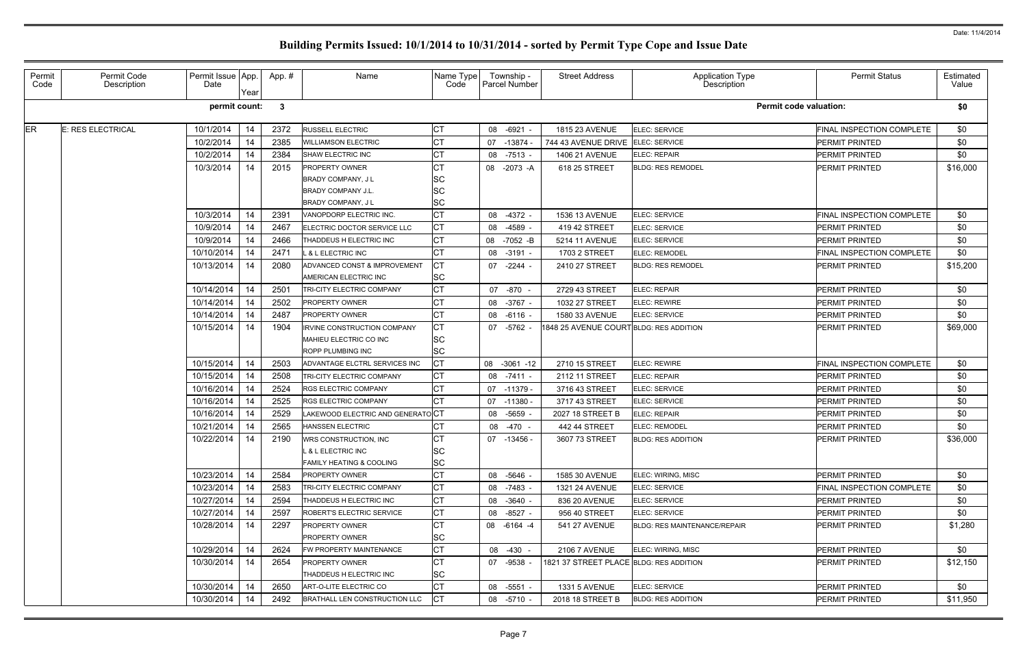| Permit<br>Code | Permit Code<br>Description | Permit Issue App.<br>Date | Year | App.#        | Name                                | Name Type<br>Code | Township -<br><b>Parcel Number</b> | <b>Street Address</b>                   | Application Type<br>Description     | <b>Permit Status</b>      | Estimated<br>Value |
|----------------|----------------------------|---------------------------|------|--------------|-------------------------------------|-------------------|------------------------------------|-----------------------------------------|-------------------------------------|---------------------------|--------------------|
|                |                            | permit count:             |      | $\mathbf{3}$ |                                     |                   |                                    |                                         | <b>Permit code valuation:</b>       |                           | \$0                |
| ER             | E: RES ELECTRICAL          | 10/1/2014                 | 14   | 2372         | RUSSELL ELECTRIC                    | СT                | 08 -6921 -                         | 1815 23 AVENUE                          | ELEC: SERVICE                       | FINAL INSPECTION COMPLETE | \$0                |
|                |                            | 10/2/2014                 |      | 2385         | <b>WILLIAMSON ELECTRIC</b>          |                   | 07 -13874                          | 744 43 AVENUE DRIVE                     | <b>ELEC: SERVICE</b>                | PERMIT PRINTED            | \$0                |
|                |                            | 10/2/2014                 | 14   | 2384         | SHAW ELECTRIC INC                   | СT                | 08 -7513 -                         | <b>1406 21 AVENUE</b>                   | ELEC: REPAIR                        | PERMIT PRINTED            | \$0                |
|                |                            | 10/3/2014                 | 14   | 2015         | <b>PROPERTY OWNER</b>               | СT                | 08 -2073 -A                        | 618 25 STREET                           | <b>BLDG: RES REMODEL</b>            | <b>PERMIT PRINTED</b>     | \$16,000           |
|                |                            |                           |      |              | <b>BRADY COMPANY, JL</b>            | SC                |                                    |                                         |                                     |                           |                    |
|                |                            |                           |      |              | <b>BRADY COMPANY J.L.</b>           | SC                |                                    |                                         |                                     |                           |                    |
|                |                            |                           |      |              | <b>BRADY COMPANY, JL</b>            | <b>SC</b>         |                                    |                                         |                                     |                           |                    |
|                |                            | 10/3/2014                 | 14   | 2391         | VANOPDORP ELECTRIC INC.             | <b>CT</b>         | 08 -4372 -                         | 1536 13 AVENUE                          | <b>ELEC: SERVICE</b>                | FINAL INSPECTION COMPLETE | \$0                |
|                |                            | 10/9/2014                 | 14   | 2467         | ELECTRIC DOCTOR SERVICE LLC         | <b>CT</b>         | 08 -4589                           | 419 42 STREET                           | <b>ELEC: SERVICE</b>                | <b>PERMIT PRINTED</b>     | \$0                |
|                |                            | 10/9/2014                 | 14   | 2466         | THADDEUS H ELECTRIC INC             | <b>CT</b>         | 08 -7052 -B                        | 5214 11 AVENUE                          | <b>ELEC: SERVICE</b>                | <b>PERMIT PRINTED</b>     | \$0                |
|                |                            | 10/10/2014                | 14   | 2471         | & L ELECTRIC INC                    | СT                | 08 -3191 -                         | 1703 2 STREET                           | ELEC: REMODEL                       | FINAL INSPECTION COMPLETE | \$0                |
|                |                            | 10/13/2014                | 14   | 2080         | ADVANCED CONST & IMPROVEMENT        | СT                | 07 -2244 -                         | 2410 27 STREET                          | <b>BLDG: RES REMODEL</b>            | <b>PERMIT PRINTED</b>     | \$15,200           |
|                |                            |                           |      |              | AMERICAN ELECTRIC INC               | SC                |                                    |                                         |                                     |                           |                    |
|                |                            | 10/14/2014                | 14   | 2501         | TRI-CITY ELECTRIC COMPANY           | <b>CT</b>         | 07 -870 -                          | 2729 43 STREET                          | ELEC: REPAIR                        | PERMIT PRINTED            | \$0                |
|                |                            | 10/14/2014                | 14   | 2502         | <b>PROPERTY OWNER</b>               |                   | 08 - 3767 -                        | 1032 27 STREET                          | <b>ELEC: REWIRE</b>                 | PERMIT PRINTED            | \$0                |
|                |                            | 10/14/2014                | 14   | 2487         | <b>PROPERTY OWNER</b>               | СT                | 08 -6116 -                         | 1580 33 AVENUE                          | ELEC: SERVICE                       | PERMIT PRINTED            | \$0                |
|                |                            | 10/15/2014                | 14   | 1904         | IRVINE CONSTRUCTION COMPANY         | <b>CT</b>         | 07 -5762                           | 1848 25 AVENUE COURT BLDG: RES ADDITION |                                     | PERMIT PRINTED            | \$69,000           |
|                |                            |                           |      |              | MAHIEU ELECTRIC CO INC              | <b>SC</b>         |                                    |                                         |                                     |                           |                    |
|                |                            |                           |      |              | <b>ROPP PLUMBING INC</b>            | <b>SC</b>         |                                    |                                         |                                     |                           |                    |
|                |                            | 10/15/2014                | 14   | 2503         | ADVANTAGE ELCTRL SERVICES INC       | СT                | 08 -3061 -12                       | 2710 15 STREET                          | <b>ELEC: REWIRE</b>                 | FINAL INSPECTION COMPLETE | \$0                |
|                |                            | 10/15/2014                | 14   | 2508         | TRI-CITY ELECTRIC COMPANY           | СT                | 08 -7411 -                         | 2112 11 STREET                          | ELEC: REPAIR                        | PERMIT PRINTED            | \$0                |
|                |                            | 10/16/2014                | 14   | 2524         | RGS ELECTRIC COMPANY                | <b>CT</b>         | 07 -11379 -                        | 3716 43 STREET                          | ELEC: SERVICE                       | <b>PERMIT PRINTED</b>     | \$0                |
|                |                            | 10/16/2014                | 14   | 2525         | RGS ELECTRIC COMPANY                | СT                | 07 -11380                          | 3717 43 STREET                          | <b>ELEC: SERVICE</b>                | PERMIT PRINTED            | \$0                |
|                |                            | 10/16/2014                | 14   | 2529         | AKEWOOD ELECTRIC AND GENERATOCT     |                   | 08 -5659                           | 2027 18 STREET B                        | ELEC: REPAIR                        | PERMIT PRINTED            | \$0                |
|                |                            | 10/21/2014                | 14   | 2565         | HANSSEN ELECTRIC                    | СT                | -470 -<br>08                       | 442 44 STREET                           | <b>ELEC: REMODEL</b>                | PERMIT PRINTED            | \$0                |
|                |                            | 10/22/2014                | 14   | 2190         | <b>WRS CONSTRUCTION, INC.</b>       | СT                | 07 -13456 -                        | 3607 73 STREET                          | <b>BLDG: RES ADDITION</b>           | PERMIT PRINTED            | \$36,000           |
|                |                            |                           |      |              | <b>&amp; L ELECTRIC INC</b>         | <b>SC</b>         |                                    |                                         |                                     |                           |                    |
|                |                            |                           |      |              | <b>FAMILY HEATING &amp; COOLING</b> | <b>SC</b>         |                                    |                                         |                                     |                           |                    |
|                |                            | 10/23/2014                | 14   | 2584         | <b>PROPERTY OWNER</b>               | <b>CT</b>         | 08 -5646 -                         | 1585 30 AVENUE                          | ELEC: WIRING, MISC                  | <b>IPERMIT PRINTED</b>    | \$0                |
|                |                            | 10/23/2014                | 14   | 2583         | <b>TRI-CITY ELECTRIC COMPANY</b>    | <b>CT</b>         | 08 -7483 -                         | 1321 24 AVENUE                          | ELEC: SERVICE                       | FINAL INSPECTION COMPLETE | \$0                |
|                |                            | 10/27/2014                | 14   | 2594         | THADDEUS H ELECTRIC INC             | <b>CT</b>         | 08 -3640 -                         | 836 20 AVENUE                           | ELEC: SERVICE                       | <b>PERMIT PRINTED</b>     | \$0                |
|                |                            | 10/27/2014                | 14   | 2597         | <b>ROBERT'S ELECTRIC SERVICE</b>    | <b>CT</b>         | 08 -8527 -                         | 956 40 STREET                           | ELEC: SERVICE                       | <b>PERMIT PRINTED</b>     | \$0                |
|                |                            | 10/28/2014                | 14   | 2297         | <b>PROPERTY OWNER</b>               | СT                | 08 -6164 -4                        | <b>541 27 AVENUE</b>                    | <b>BLDG: RES MAINTENANCE/REPAIR</b> | <b>PERMIT PRINTED</b>     | \$1,280            |
|                |                            |                           |      |              | <b>PROPERTY OWNER</b>               | SC                |                                    |                                         |                                     |                           |                    |
|                |                            | 10/29/2014                | 14   | 2624         | FW PROPERTY MAINTENANCE             | <b>CT</b>         | 08 -430 -                          | <b>2106 7 AVENUE</b>                    | ELEC: WIRING, MISC                  | <b>PERMIT PRINTED</b>     | \$0                |
|                |                            | 10/30/2014                | 14   | 2654         | <b>PROPERTY OWNER</b>               | <b>CT</b>         | 07 -9538                           | 1821 37 STREET PLACE BLDG: RES ADDITION |                                     | <b>PERMIT PRINTED</b>     | \$12,150           |
|                |                            |                           |      |              | THADDEUS H ELECTRIC INC             | <b>SC</b>         |                                    |                                         |                                     |                           |                    |
|                |                            | 10/30/2014                | 14   | 2650         | ART-O-LITE ELECTRIC CO              | <b>CT</b>         | 08 -5551 -                         | <b>1331 5 AVENUE</b>                    | ELEC: SERVICE                       | <b>PERMIT PRINTED</b>     | \$0                |
|                |                            | 10/30/2014                | 14   | 2492         | BRATHALL LEN CONSTRUCTION LLC       |                   | 08 -5710 -                         | 2018 18 STREET B                        | <b>BLDG: RES ADDITION</b>           | PERMIT PRINTED            | \$11,950           |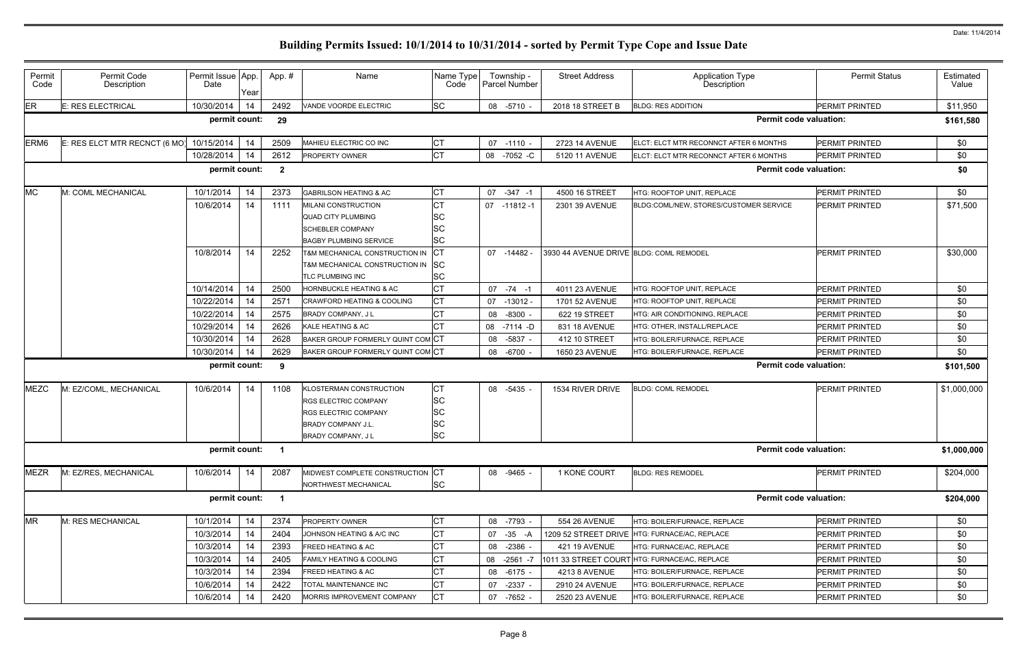| Permit<br>Code   | Permit Code<br>Description    | Permit Issue App<br>Date | Year | App. #           | Name                               | Name Type<br>Code | Township -<br>Parcel Number | <b>Street Address</b>                   | <b>Application Type</b><br>Description        | <b>Permit Status</b>  | Estimated<br>Value |
|------------------|-------------------------------|--------------------------|------|------------------|------------------------------------|-------------------|-----------------------------|-----------------------------------------|-----------------------------------------------|-----------------------|--------------------|
| ER               | E: RES ELECTRICAL             | 10/30/2014               | 14   | 2492             | VANDE VOORDE ELECTRIC              | <b>SC</b>         | 08 -5710 -                  | 2018 18 STREET B                        | <b>BLDG: RES ADDITION</b>                     | PERMIT PRINTED        | \$11,950           |
|                  |                               | permit count:            |      | 29               |                                    |                   |                             |                                         | <b>Permit code valuation:</b>                 |                       | \$161,580          |
| ERM <sub>6</sub> | E: RES ELCT MTR RECNCT (6 MO) | 10/15/2014               | 14   | 2509             | MAHIEU ELECTRIC CO INC             | СT                | 07 -1110 -                  | 2723 14 AVENUE                          | ELCT: ELCT MTR RECONNCT AFTER 6 MONTHS        | PERMIT PRINTED        | \$0                |
|                  |                               | 10/28/2014               | 14   | 2612             | <b>PROPERTY OWNER</b>              | <b>CT</b>         | 08 -7052 -C                 | 5120 11 AVENUE                          | ELCT: ELCT MTR RECONNCT AFTER 6 MONTHS        | PERMIT PRINTED        | \$0                |
|                  |                               | permit count:            |      | $\boldsymbol{2}$ |                                    |                   |                             |                                         | <b>Permit code valuation:</b>                 |                       | \$0                |
| <b>MC</b>        | M: COML MECHANICAL            | 10/1/2014                | 14   | 2373             | <b>GABRILSON HEATING &amp; AC</b>  | <b>CT</b>         | 07 -347 -1                  | 4500 16 STREET                          | HTG: ROOFTOP UNIT, REPLACE                    | <b>PERMIT PRINTED</b> | \$0                |
|                  |                               | 10/6/2014                | 14   | 1111             | MILANI CONSTRUCTION                | <b>CT</b>         | 07 -11812 -1                | 2301 39 AVENUE                          | BLDG:COML/NEW, STORES/CUSTOMER SERVICE        | PERMIT PRINTED        | \$71,500           |
|                  |                               |                          |      |                  | <b>QUAD CITY PLUMBING</b>          | SC                |                             |                                         |                                               |                       |                    |
|                  |                               |                          |      |                  | <b>SCHEBLER COMPANY</b>            | SC                |                             |                                         |                                               |                       |                    |
|                  |                               |                          |      |                  | <b>BAGBY PLUMBING SERVICE</b>      | SC                |                             |                                         |                                               |                       |                    |
|                  |                               | 10/8/2014                | 14   | 2252             | T&M MECHANICAL CONSTRUCTION IN     | CT                | 07 -14482                   | 3930 44 AVENUE DRIVE BLDG: COML REMODEL |                                               | <b>PERMIT PRINTED</b> | \$30,000           |
|                  |                               |                          |      |                  | T&M MECHANICAL CONSTRUCTION IN SC  |                   |                             |                                         |                                               |                       |                    |
|                  |                               |                          |      |                  | TLC PLUMBING INC                   | SC                |                             |                                         |                                               |                       |                    |
|                  |                               | 10/14/2014               | 14   | 2500             | <b>HORNBUCKLE HEATING &amp; AC</b> | <b>CT</b>         | $07 - 74 - 1$               | 4011 23 AVENUE                          | HTG: ROOFTOP UNIT, REPLACE                    | <b>PERMIT PRINTED</b> | \$0                |
|                  |                               | 10/22/2014               | 14   | 2571             | CRAWFORD HEATING & COOLING         | <b>CT</b>         | 07 -13012 -                 | 1701 52 AVENUE                          | HTG: ROOFTOP UNIT, REPLACE                    | <b>PERMIT PRINTED</b> | \$0                |
|                  |                               | 10/22/2014               | 14   | 2575             | BRADY COMPANY, J L                 |                   | $-8300$ .<br>08             | 622 19 STREET                           | HTG: AIR CONDITIONING, REPLACE                | <b>PERMIT PRINTED</b> | \$0                |
|                  |                               | 10/29/2014               | 14   | 2626             | KALE HEATING & AC                  |                   | 08 -7114 -D                 | 831 18 AVENUE                           | HTG: OTHER, INSTALL/REPLACE                   | <b>PERMIT PRINTED</b> | \$0                |
|                  |                               | 10/30/2014               | 14   | 2628             | BAKER GROUP FORMERLY QUINT COM CT  |                   | 08 -5837 -                  | 412 10 STREET                           | HTG: BOILER/FURNACE, REPLACE                  | PERMIT PRINTED        | \$0                |
|                  |                               | 10/30/2014               | 14   | 2629             | BAKER GROUP FORMERLY QUINT COM CT  |                   | 08 -6700 -                  | 1650 23 AVENUE                          | HTG: BOILER/FURNACE, REPLACE                  | PERMIT PRINTED        | \$0                |
|                  |                               | permit count:            |      | 9                |                                    |                   |                             |                                         | <b>Permit code valuation:</b>                 |                       | \$101,500          |
| <b>MEZC</b>      | M: EZ/COML, MECHANICAL        | 10/6/2014                | 14   | 1108             | KLOSTERMAN CONSTRUCTION            | СT                | 08 -5435 -                  | 1534 RIVER DRIVE                        | <b>BLDG: COML REMODEL</b>                     | <b>PERMIT PRINTED</b> | \$1,000,000        |
|                  |                               |                          |      |                  | <b>RGS ELECTRIC COMPANY</b>        | SC                |                             |                                         |                                               |                       |                    |
|                  |                               |                          |      |                  | <b>RGS ELECTRIC COMPANY</b>        | SC                |                             |                                         |                                               |                       |                    |
|                  |                               |                          |      |                  | <b>BRADY COMPANY J.L.</b>          | SC                |                             |                                         |                                               |                       |                    |
|                  |                               |                          |      |                  | <b>BRADY COMPANY, JL</b>           | SC                |                             |                                         |                                               |                       |                    |
|                  |                               | permit count:            |      | $\blacksquare$   |                                    |                   |                             |                                         | <b>Permit code valuation:</b>                 |                       | \$1,000,000        |
| <b>MEZR</b>      | M: EZ/RES, MECHANICAL         | 10/6/2014                | 14   | 2087             | MIDWEST COMPLETE CONSTRUCTION      | <b>CT</b>         | 08 -9465 -                  | 1 KONE COURT                            | <b>BLDG: RES REMODEL</b>                      | PERMIT PRINTED        | \$204,000          |
|                  |                               |                          |      |                  | NORTHWEST MECHANICAL               | <b>SC</b>         |                             |                                         |                                               |                       |                    |
|                  |                               | permit count:            |      | $\blacksquare$   |                                    |                   |                             |                                         | <b>Permit code valuation:</b>                 |                       | \$204,000          |
| <b>MR</b>        | M: RES MECHANICAL             | 10/1/2014                | 14   | 2374             | PROPERTY OWNER                     | СT                | 08 -7793 -                  | 554 26 AVENUE                           | HTG: BOILER/FURNACE, REPLACE                  | PERMIT PRINTED        | \$0                |
|                  |                               | 10/3/2014                | 14   | 2404             | JOHNSON HEATING & A/C INC          | <b>CT</b>         | 07 -35 -A                   |                                         | 1209 52 STREET DRIVE HTG: FURNACE/AC, REPLACE | PERMIT PRINTED        | \$0                |
|                  |                               | 10/3/2014                | 14   | 2393             | FREED HEATING & AC                 | СT                | $-2386$ .<br>08             | <b>421 19 AVENUE</b>                    | HTG: FURNACE/AC, REPLACE                      | PERMIT PRINTED        | \$0                |
|                  |                               | 10/3/2014                | 14   | 2405             | FAMILY HEATING & COOLING           | СT                | -2561 -7<br>08              |                                         | 1011 33 STREET COURT HTG: FURNACE/AC, REPLACE | PERMIT PRINTED        | \$0                |
|                  |                               | 10/3/2014                | 14   | 2394             | FREED HEATING & AC                 | СT                | 08 -6175 -                  | 4213 8 AVENUE                           | HTG: BOILER/FURNACE, REPLACE                  | PERMIT PRINTED        | \$0                |
|                  |                               | 10/6/2014                | 14   | 2422             | TOTAL MAINTENANCE INC              | СT                | 07<br>$-2337 -$             | 2910 24 AVENUE                          | HTG: BOILER/FURNACE, REPLACE                  | PERMIT PRINTED        | \$0                |
|                  |                               | 10/6/2014                | 14   | 2420             | MORRIS IMPROVEMENT COMPANY         | C <sub>T</sub>    | 07 -7652 -                  | 2520 23 AVENUE                          | HTG: BOILER/FURNACE, REPLACE                  | PERMIT PRINTED        | \$0                |
|                  |                               |                          |      |                  |                                    |                   |                             |                                         |                                               |                       |                    |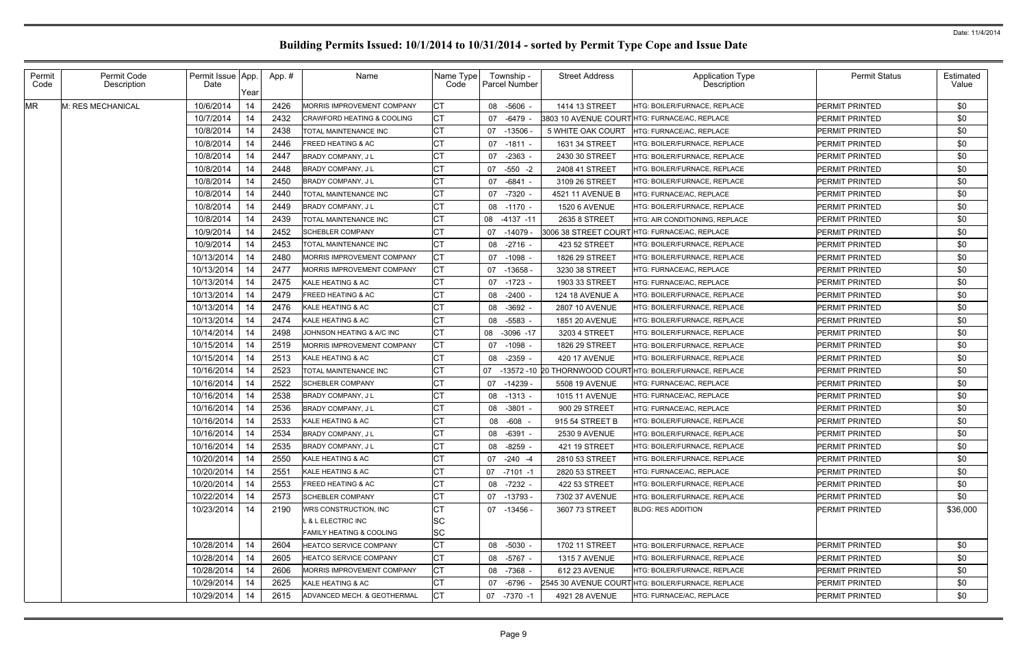| Permit<br>Code | Permit Code<br>Description | Permit Issue App<br>Date | Year | App.# | Name                                | Name Type<br>Code | Township -<br>Parcel Number | <b>Street Address</b>  | <b>Application Type</b><br><b>Description</b>             | <b>Permit Status</b>  | Estimated<br>Value |
|----------------|----------------------------|--------------------------|------|-------|-------------------------------------|-------------------|-----------------------------|------------------------|-----------------------------------------------------------|-----------------------|--------------------|
| <b>MR</b>      | M: RES MECHANICAL          | 10/6/2014                | 14   | 2426  | MORRIS IMPROVEMENT COMPANY          | СT                | 08 -5606                    | 1414 13 STREET         | HTG: BOILER/FURNACE. REPLACE                              | <b>PERMIT PRINTED</b> | \$0                |
|                |                            | 10/7/2014                | 14   | 2432  | CRAWFORD HEATING & COOLING          | СT                | -6479<br>07                 |                        | 3803 10 AVENUE COURTHTG: FURNACE/AC, REPLACE              | <b>PERMIT PRINTED</b> | \$0                |
|                |                            | 10/8/2014                | 14   | 2438  | TOTAL MAINTENANCE INC               | <b>CT</b>         | 07<br>-13506                | 5 WHITE OAK COURT      | HTG: FURNACE/AC, REPLACE                                  | <b>PERMIT PRINTED</b> | \$0                |
|                |                            | 10/8/2014                | 14   | 2446  | REED HEATING & AC                   | CT                | -1811<br>07                 | 1631 34 STREET         | HTG: BOILER/FURNACE, REPLACE                              | <b>PERMIT PRINTED</b> | \$0                |
|                |                            | 10/8/2014                | 14   | 2447  | <b>BRADY COMPANY, JL</b>            | СT                | $-2363$<br>07               | 2430 30 STREET         | HTG: BOILER/FURNACE. REPLACE                              | <b>PERMIT PRINTED</b> | \$0                |
|                |                            | 10/8/2014                | 14   | 2448  | BRADY COMPANY, J L                  | СT                | $-550 -2$<br>07             | 2408 41 STREET         | HTG: BOILER/FURNACE. REPLACE                              | <b>PERMIT PRINTED</b> | \$0                |
|                |                            | 10/8/2014                | 14   | 2450  | <b>BRADY COMPANY, JL</b>            | СT                | -6841<br>07                 | 3109 26 STREET         | HTG: BOILER/FURNACE, REPLACE                              | <b>PERMIT PRINTED</b> | \$0                |
|                |                            | 10/8/2014                | 14   | 2440  | TOTAL MAINTENANCE INC               | СT                | -7320<br>07                 | 4521 11 AVENUE B       | HTG: FURNACE/AC, REPLACE                                  | <b>PERMIT PRINTED</b> | \$0                |
|                |                            | 10/8/2014                | 14   | 2449  | <b>BRADY COMPANY, JL</b>            | СT                | 08 -1170 -                  | <b>1520 6 AVENUE</b>   | HTG: BOILER/FURNACE. REPLACE                              | <b>PERMIT PRINTED</b> | \$0                |
|                |                            | 10/8/2014                | 14   | 2439  | TOTAL MAINTENANCE INC               | CT                | 08 -4137 -11                | 2635 8 STREET          | HTG: AIR CONDITIONING, REPLACE                            | <b>PERMIT PRINTED</b> | \$0                |
|                |                            | 10/9/2014                | 14   | 2452  | <b>SCHEBLER COMPANY</b>             | СT                | $-14079$<br>07              |                        | 3006 38 STREET COURT HTG: FURNACE/AC, REPLACE             | <b>PERMIT PRINTED</b> | \$0                |
|                |                            | 10/9/2014                | 14   | 2453  | TOTAL MAINTENANCE INC               | СT                | 08 -2716                    | 423 52 STREET          | <b>HTG: BOILER/FURNACE. REPLACE</b>                       | <b>PERMIT PRINTED</b> | \$0                |
|                |                            | 10/13/2014               | 14   | 2480  | MORRIS IMPROVEMENT COMPANY          | СT                | 07 -1098                    | 1826 29 STREET         | HTG: BOILER/FURNACE. REPLACE                              | <b>PERMIT PRINTED</b> | \$0                |
|                |                            | 10/13/2014               | 14   | 2477  | <b>MORRIS IMPROVEMENT COMPANY</b>   | СT                | $-13658$<br>07              | 3230 38 STREET         | <b>HTG: FURNACE/AC. REPLACE</b>                           | <b>PERMIT PRINTED</b> | \$0                |
|                |                            | 10/13/2014               | 14   | 2475  | KALE HEATING & AC                   | <b>CT</b>         | 07 -1723                    | 1903 33 STREET         | HTG: FURNACE/AC, REPLACE                                  | <b>PERMIT PRINTED</b> | \$0                |
|                |                            | 10/13/2014               | 14   | 2479  | FREED HEATING & AC                  | СT                | 08<br>-2400                 | <b>124 18 AVENUE A</b> | HTG: BOILER/FURNACE, REPLACE                              | <b>PERMIT PRINTED</b> | \$0                |
|                |                            | 10/13/2014               | 14   | 2476  | KALE HEATING & AC                   | СT                | 08 -3692                    | <b>2807 10 AVENUE</b>  | HTG: BOILER/FURNACE, REPLACE                              | <b>PERMIT PRINTED</b> | \$0                |
|                |                            | 10/13/2014               | 14   | 2474  | KALE HEATING & AC                   | СT                | 08 -5583                    | <b>1851 20 AVENUE</b>  | HTG: BOILER/FURNACE, REPLACE                              | <b>PERMIT PRINTED</b> | \$0                |
|                |                            | 10/14/2014               | 14   | 2498  | JOHNSON HEATING & A/C INC           | СT                | 08 -3096 -17                | 3203 4 STREET          | HTG: BOILER/FURNACE, REPLACE                              | <b>PERMIT PRINTED</b> | \$0                |
|                |                            | 10/15/2014               | -14  | 2519  | <b>MORRIS IMPROVEMENT COMPANY</b>   | <b>CT</b>         | 07 -1098                    | 1826 29 STREET         | HTG: BOILER/FURNACE, REPLACE                              | <b>PERMIT PRINTED</b> | \$0                |
|                |                            | 10/15/2014               | 14   | 2513  | KALE HEATING & AC                   | СT                | 08 -2359                    | <b>420 17 AVENUE</b>   | HTG: BOILER/FURNACE, REPLACE                              | <b>PERMIT PRINTED</b> | \$0                |
|                |                            | 10/16/2014               | 14   | 2523  | TOTAL MAINTENANCE INC               | СT                | 07                          |                        | -13572 -10 20 THORNWOOD COURTHTG: BOILER/FURNACE, REPLACE | <b>PERMIT PRINTED</b> | \$0                |
|                |                            | 10/16/2014               | 14   | 2522  | <b>SCHEBLER COMPANY</b>             | СT                | $-14239$<br>07              | 5508 19 AVENUE         | HTG: FURNACE/AC, REPLACE                                  | <b>PERMIT PRINTED</b> | \$0                |
|                |                            | 10/16/2014               | 14   | 2538  | <b>BRADY COMPANY, JL</b>            | CT                | -1313<br>08                 | <b>1015 11 AVENUE</b>  | HTG: FURNACE/AC, REPLACE                                  | <b>PERMIT PRINTED</b> | \$0                |
|                |                            | 10/16/2014               | 14   | 2536  | <b>BRADY COMPANY, JL</b>            | СT                | 08 -3801                    | 900 29 STREET          | HTG: FURNACE/AC, REPLACE                                  | <b>PERMIT PRINTED</b> | \$0                |
|                |                            | 10/16/2014               | 14   | 2533  | KALE HEATING & AC                   | СT                | -608<br>08                  | 915 54 STREET B        | HTG: BOILER/FURNACE, REPLACE                              | <b>PERMIT PRINTED</b> | \$0                |
|                |                            | 10/16/2014               | 14   | 2534  | BRADY COMPANY, J L                  | <b>CT</b>         | 08 -6391                    | 2530 9 AVENUE          | HTG: BOILER/FURNACE, REPLACE                              | <b>PERMIT PRINTED</b> | \$0                |
|                |                            | 10/16/2014               | 14   | 2535  | BRADY COMPANY, J L                  | <b>CT</b>         | 08 -8259 -                  | 421 19 STREET          | HTG: BOILER/FURNACE. REPLACE                              | <b>PERMIT PRINTED</b> | \$0                |
|                |                            | 10/20/2014               | 14   | 2550  | KALE HEATING & AC                   | <b>CT</b>         | 07 -240 -4                  | 2810 53 STREET         | HTG: BOILER/FURNACE, REPLACE                              | PERMIT PRINTED        | \$0                |
|                |                            | 10/20/2014               | 14   | 2551  | KALE HEATING & AC                   | <b>CT</b>         | 07 -7101 -1                 | 2820 53 STREET         | HTG: FURNACE/AC, REPLACE                                  | PERMIT PRINTED        | \$0                |
|                |                            | 10/20/2014               | 14   | 2553  | <b>FREED HEATING &amp; AC</b>       | СT                | 08 -7232 -                  | 422 53 STREET          | HTG: BOILER/FURNACE, REPLACE                              | <b>PERMIT PRINTED</b> | \$0                |
|                |                            | 10/22/2014               | 14   | 2573  | <b>SCHEBLER COMPANY</b>             | СT                | 07 -13793 -                 | 7302 37 AVENUE         | HTG: BOILER/FURNACE. REPLACE                              | <b>PERMIT PRINTED</b> | \$0                |
|                |                            | 10/23/2014               | 14   | 2190  | WRS CONSTRUCTION, INC               | СT                | 07 -13456 -                 | 3607 73 STREET         | <b>BLDG: RES ADDITION</b>                                 | PERMIT PRINTED        | \$36,000           |
|                |                            |                          |      |       | L & L ELECTRIC INC                  | <b>SC</b>         |                             |                        |                                                           |                       |                    |
|                |                            |                          |      |       | <b>FAMILY HEATING &amp; COOLING</b> | <b>SC</b>         |                             |                        |                                                           |                       |                    |
|                |                            | 10/28/2014               | 14   | 2604  | <b>HEATCO SERVICE COMPANY</b>       | <b>CT</b>         | 08 -5030 -                  | 1702 11 STREET         | HTG: BOILER/FURNACE, REPLACE                              | PERMIT PRINTED        | \$0                |
|                |                            | 10/28/2014               | 14   | 2605  | HEATCO SERVICE COMPANY              | <b>CT</b>         | 08 -5767 -                  | <b>1315 7 AVENUE</b>   | HTG: BOILER/FURNACE, REPLACE                              | <b>PERMIT PRINTED</b> | \$0                |
|                |                            | 10/28/2014               | 14   | 2606  | <b>MORRIS IMPROVEMENT COMPANY</b>   | <b>CT</b>         | 08 -7368 -                  | 612 23 AVENUE          | HTG: BOILER/FURNACE, REPLACE                              | <b>PERMIT PRINTED</b> | \$0                |
|                |                            | 10/29/2014               | -14  | 2625  | KALE HEATING & AC                   | СT                | 07 -6796                    |                        | 2545 30 AVENUE COURT HTG: BOILER/FURNACE, REPLACE         | <b>PERMIT PRINTED</b> | \$0                |
|                |                            | 10/29/2014               | 14   | 2615  | ADVANCED MECH. & GEOTHERMAL         | <b>CT</b>         | 07 -7370 -1                 | 4921 28 AVENUE         | HTG: FURNACE/AC, REPLACE                                  | PERMIT PRINTED        | \$0                |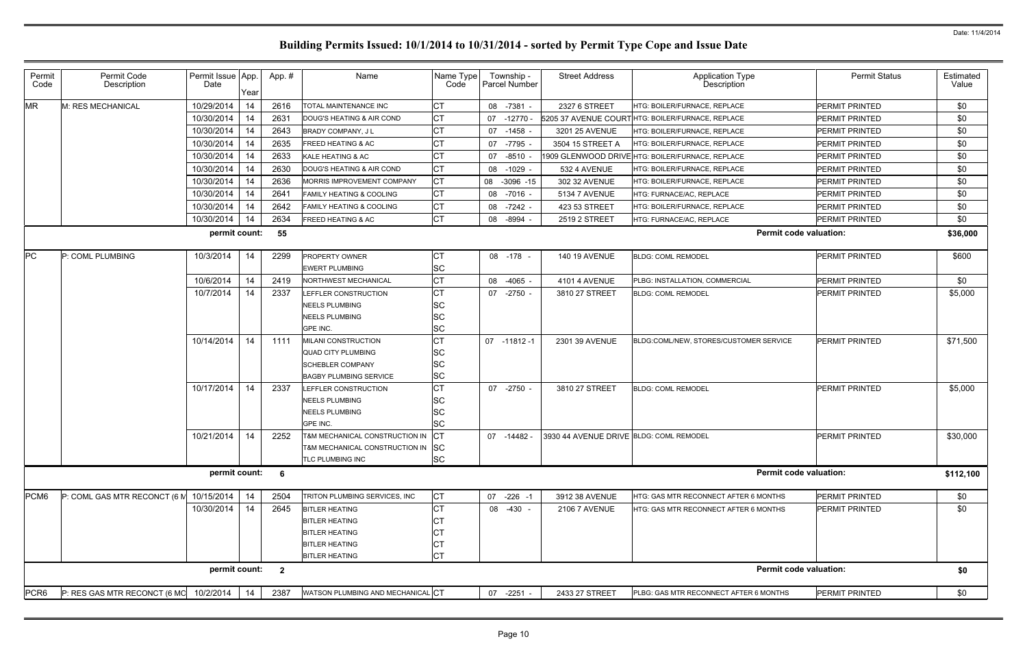| Permit<br>Code   | Permit Code<br>Description   | Permit Issue App.<br>Date | Year | App.#           | Name                                    | Name Type<br>Code      | Township -<br>Parcel Number | <b>Street Address</b>                   | <b>Application Type</b><br>Description           | <b>Permit Status</b>  | Estimated<br>Value |
|------------------|------------------------------|---------------------------|------|-----------------|-----------------------------------------|------------------------|-----------------------------|-----------------------------------------|--------------------------------------------------|-----------------------|--------------------|
| <b>MR</b>        | M: RES MECHANICAL            | 10/29/2014                | 14   | 2616            | TOTAL MAINTENANCE INC                   | <b>CT</b>              | 08 -7381 -                  | 2327 6 STREET                           | HTG: BOILER/FURNACE, REPLACE                     | PERMIT PRINTED        | \$0                |
|                  |                              | 10/30/2014                | 14   | 2631            | DOUG'S HEATING & AIR COND               | <b>CT</b>              | $-12770$<br>07              |                                         | 5205 37 AVENUE COURTHTG: BOILER/FURNACE, REPLACE | <b>PERMIT PRINTED</b> | \$0                |
|                  |                              | 10/30/2014                | 14   | 2643            | <b>BRADY COMPANY, JL</b>                | <b>CT</b>              | 07 -1458                    | 3201 25 AVENUE                          | HTG: BOILER/FURNACE, REPLACE                     | PERMIT PRINTED        | \$0                |
|                  |                              | 10/30/2014                | 14   | 2635            | FREED HEATING & AC                      | <b>CT</b>              | -7795<br>07                 | 3504 15 STREET A                        | HTG: BOILER/FURNACE, REPLACE                     | <b>PERMIT PRINTED</b> | \$0                |
|                  |                              | 10/30/2014                | 14   | 2633            | KALE HEATING & AC                       | СT                     | $-8510$<br>07               |                                         | 1909 GLENWOOD DRIVE HTG: BOILER/FURNACE, REPLACE | PERMIT PRINTED        | \$0                |
|                  |                              | 10/30/2014                | 14   | 2630            | DOUG'S HEATING & AIR COND               | <b>CT</b>              | $-1029$<br>08               | 532 4 AVENUE                            | HTG: BOILER/FURNACE, REPLACE                     | <b>PERMIT PRINTED</b> | \$0                |
|                  |                              | 10/30/2014                | 14   | 2636            | MORRIS IMPROVEMENT COMPANY              | <b>CT</b>              | 08 -3096 -15                | 302 32 AVENUE                           | HTG: BOILER/FURNACE, REPLACE                     | <b>PERMIT PRINTED</b> | \$0                |
|                  |                              | 10/30/2014                | 14   | 2641            | <b>FAMILY HEATING &amp; COOLING</b>     | <b>CT</b>              | 08<br>-7016 -               | 5134 7 AVENUE                           | HTG: FURNACE/AC, REPLACE                         | <b>PERMIT PRINTED</b> | \$0                |
|                  |                              | 10/30/2014                | 14   | 2642            | <b>FAMILY HEATING &amp; COOLING</b>     | <b>CT</b>              | $-7242 -$<br>08             | 423 53 STREET                           | HTG: BOILER/FURNACE, REPLACE                     | PERMIT PRINTED        | \$0                |
|                  |                              | 10/30/2014                | 14   | 2634            | <b>FREED HEATING &amp; AC</b>           | <b>CT</b>              | -8994<br>08                 | 2519 2 STREET                           | HTG: FURNACE/AC, REPLACE                         | <b>PERMIT PRINTED</b> | \$0                |
|                  |                              | permit count:             |      | 55              |                                         |                        |                             |                                         | <b>Permit code valuation:</b>                    |                       | \$36,000           |
| PC               | P: COML PLUMBING             | 10/3/2014                 | 14   | 2299            | PROPERTY OWNER<br><b>EWERT PLUMBING</b> | СT<br>SC               | 08 -178 -                   | <b>140 19 AVENUE</b>                    | <b>BLDG: COML REMODEL</b>                        | <b>PERMIT PRINTED</b> | \$600              |
|                  |                              | 10/6/2014                 | 14   | 2419            | NORTHWEST MECHANICAL                    | <b>CT</b>              | 08<br>$-4065 -$             | 4101 4 AVENUE                           | PLBG: INSTALLATION, COMMERCIAL                   | PERMIT PRINTED        | \$0                |
|                  |                              | 10/7/2014                 | 14   | 2337            | LEFFLER CONSTRUCTION                    | <b>CT</b>              | 07 -2750 -                  | 3810 27 STREET                          | <b>BLDG: COML REMODEL</b>                        | <b>PERMIT PRINTED</b> | \$5,000            |
|                  |                              |                           |      |                 | <b>NEELS PLUMBING</b>                   | <b>SC</b>              |                             |                                         |                                                  |                       |                    |
|                  |                              |                           |      |                 | <b>NEELS PLUMBING</b>                   | SC                     |                             |                                         |                                                  |                       |                    |
|                  |                              |                           |      |                 | GPE INC.                                | <b>SC</b>              |                             |                                         |                                                  |                       |                    |
|                  |                              | 10/14/2014                | 14   | 1111            | MILANI CONSTRUCTION                     | <b>CT</b>              | 07 -11812 -1                | 2301 39 AVENUE                          | BLDG:COML/NEW, STORES/CUSTOMER SERVICE           | <b>PERMIT PRINTED</b> | \$71,500           |
|                  |                              |                           |      |                 | <b>QUAD CITY PLUMBING</b>               | <b>SC</b>              |                             |                                         |                                                  |                       |                    |
|                  |                              |                           |      |                 | <b>SCHEBLER COMPANY</b>                 | <b>SC</b>              |                             |                                         |                                                  |                       |                    |
|                  |                              |                           |      |                 | <b>BAGBY PLUMBING SERVICE</b>           | <b>SC</b>              |                             |                                         |                                                  |                       |                    |
|                  |                              | 10/17/2014                | 14   | 2337            | LEFFLER CONSTRUCTION                    | <b>CT</b>              | 07 -2750                    | 3810 27 STREET                          | <b>BLDG: COML REMODEL</b>                        | <b>PERMIT PRINTED</b> | \$5,000            |
|                  |                              |                           |      |                 | <b>NEELS PLUMBING</b>                   | <b>SC</b><br><b>SC</b> |                             |                                         |                                                  |                       |                    |
|                  |                              |                           |      |                 | <b>NEELS PLUMBING</b><br>GPE INC.       | <b>SC</b>              |                             |                                         |                                                  |                       |                    |
|                  |                              | 10/21/2014                | 14   | 2252            | T&M MECHANICAL CONSTRUCTION IN CT       |                        | 07 -14482 -                 | 3930 44 AVENUE DRIVE BLDG: COML REMODEL |                                                  | <b>PERMIT PRINTED</b> | \$30,000           |
|                  |                              |                           |      |                 | T&M MECHANICAL CONSTRUCTION IN SC       |                        |                             |                                         |                                                  |                       |                    |
|                  |                              |                           |      |                 | TLC PLUMBING INC                        | <b>SC</b>              |                             |                                         |                                                  |                       |                    |
|                  |                              | permit count:             |      | $6\overline{6}$ |                                         |                        |                             |                                         | <b>Permit code valuation:</b>                    |                       | \$112,100          |
| PCM6             | P: COML GAS MTR RECONCT (6 M | 10/15/2014                | 14   | 2504            | TRITON PLUMBING SERVICES, INC           | <b>CT</b>              | 07 -226 -1                  | 3912 38 AVENUE                          | HTG: GAS MTR RECONNECT AFTER 6 MONTHS            | <b>PERMIT PRINTED</b> | \$0                |
|                  |                              | 10/30/2014                | 14   | 2645            | <b>BITLER HEATING</b>                   | <b>CT</b>              | 08 -430 -                   | <b>2106 7 AVENUE</b>                    | HTG: GAS MTR RECONNECT AFTER 6 MONTHS            | PERMIT PRINTED        | \$0                |
|                  |                              |                           |      |                 | <b>BITLER HEATING</b>                   | CТ                     |                             |                                         |                                                  |                       |                    |
|                  |                              |                           |      |                 | <b>BITLER HEATING</b>                   | СT                     |                             |                                         |                                                  |                       |                    |
|                  |                              |                           |      |                 | <b>BITLER HEATING</b>                   | СT                     |                             |                                         |                                                  |                       |                    |
|                  |                              |                           |      |                 | <b>BITLER HEATING</b>                   | <b>CT</b>              |                             |                                         |                                                  |                       |                    |
|                  |                              | permit count:             |      | $\overline{2}$  |                                         |                        |                             |                                         | <b>Permit code valuation:</b>                    |                       | \$0                |
| PCR <sub>6</sub> | P: RES GAS MTR RECONCT (6 MO | 10/2/2014                 | 14   | 2387            | WATSON PLUMBING AND MECHANICAL CT       |                        | 07 -2251 -                  | 2433 27 STREET                          | PLBG: GAS MTR RECONNECT AFTER 6 MONTHS           | PERMIT PRINTED        | \$0                |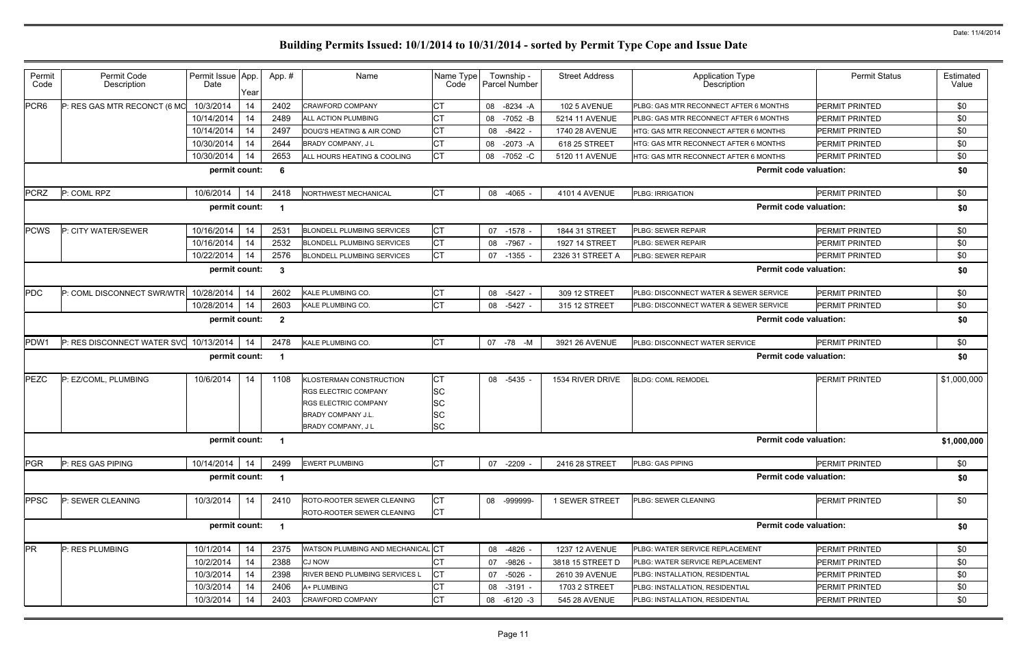| Permit<br>Code   | Permit Code<br>Description             | Permit Issue App.<br>Date | Year | App.#            | Name                                                                                                                                     | Name Type<br>Code                                             | Township -<br>Parcel Number | <b>Street Address</b> | <b>Application Type</b><br>Description | <b>Permit Status</b>  | Estimated<br>Value |
|------------------|----------------------------------------|---------------------------|------|------------------|------------------------------------------------------------------------------------------------------------------------------------------|---------------------------------------------------------------|-----------------------------|-----------------------|----------------------------------------|-----------------------|--------------------|
| PCR <sub>6</sub> | P: RES GAS MTR RECONCT (6 MO           | 10/3/2014                 | 14   | 2402             | <b>CRAWFORD COMPANY</b>                                                                                                                  | СT                                                            | 08 -8234 -A                 | 102 5 AVENUE          | PLBG: GAS MTR RECONNECT AFTER 6 MONTHS | PERMIT PRINTED        | \$0                |
|                  |                                        | 10/14/2014                | 14   | 2489             | ALL ACTION PLUMBING                                                                                                                      | <b>CT</b>                                                     | 08 -7052 -B                 | 5214 11 AVENUE        | PLBG: GAS MTR RECONNECT AFTER 6 MONTHS | <b>PERMIT PRINTED</b> | \$0                |
|                  |                                        | 10/14/2014                | 14   | 2497             | DOUG'S HEATING & AIR COND                                                                                                                | <b>CT</b>                                                     | 08 -8422 -                  | 1740 28 AVENUE        | HTG: GAS MTR RECONNECT AFTER 6 MONTHS  | PERMIT PRINTED        | \$0                |
|                  |                                        | 10/30/2014                | 14   | 2644             | BRADY COMPANY, J L                                                                                                                       | <b>CT</b>                                                     | 08 -2073 -A                 | 618 25 STREET         | HTG: GAS MTR RECONNECT AFTER 6 MONTHS  | PERMIT PRINTED        | \$0                |
|                  |                                        | 10/30/2014                | 14   | 2653             | ALL HOURS HEATING & COOLING                                                                                                              | <b>CT</b>                                                     | 08 -7052 -C                 | 5120 11 AVENUE        | HTG: GAS MTR RECONNECT AFTER 6 MONTHS  | PERMIT PRINTED        | \$0                |
|                  |                                        | permit count:             |      | 6                |                                                                                                                                          |                                                               |                             |                       | <b>Permit code valuation:</b>          |                       | \$0                |
| <b>PCRZ</b>      | P: COML RPZ                            | 10/6/2014                 | 14   | 2418             | NORTHWEST MECHANICAL                                                                                                                     | <b>CT</b>                                                     | 08 -4065                    | <b>4101 4 AVENUE</b>  | PLBG: IRRIGATION                       | PERMIT PRINTED        | \$0                |
|                  |                                        | permit count:             |      |                  |                                                                                                                                          |                                                               |                             |                       | <b>Permit code valuation:</b>          |                       | \$0                |
| <b>PCWS</b>      | P: CITY WATER/SEWER                    | 10/16/2014                | 14   | 2531             | <b>BLONDELL PLUMBING SERVICES</b>                                                                                                        | <b>CT</b>                                                     | 07 -1578                    | 1844 31 STREET        | PLBG: SEWER REPAIR                     | <b>PERMIT PRINTED</b> | \$0                |
|                  |                                        | 10/16/2014                | 14   | 2532             | <b>BLONDELL PLUMBING SERVICES</b>                                                                                                        | <b>CT</b>                                                     | 08 -7967                    | 1927 14 STREET        | PLBG: SEWER REPAIR                     | PERMIT PRINTED        | \$0                |
|                  |                                        | 10/22/2014                | 14   | 2576             | <b>BLONDELL PLUMBING SERVICES</b>                                                                                                        | <b>CT</b>                                                     | 07 -1355                    | 2326 31 STREET A      | PLBG: SEWER REPAIR                     | PERMIT PRINTED        | \$0                |
|                  |                                        | permit count:             |      | $\boldsymbol{3}$ |                                                                                                                                          |                                                               |                             |                       | <b>Permit code valuation:</b>          |                       | \$0                |
| <b>PDC</b>       | P: COML DISCONNECT SWR/WTR             | 10/28/2014                | 14   | 2602             | KALE PLUMBING CO.                                                                                                                        | <b>CT</b>                                                     | 08 -5427 -                  | 309 12 STREET         | PLBG: DISCONNECT WATER & SEWER SERVICE | <b>PERMIT PRINTED</b> | \$0                |
|                  |                                        | 10/28/2014                | 14   | 2603             | KALE PLUMBING CO.                                                                                                                        | <b>CT</b>                                                     | 08 -5427 -                  | 315 12 STREET         | PLBG: DISCONNECT WATER & SEWER SERVICE | <b>PERMIT PRINTED</b> | \$0                |
|                  |                                        | permit count:             |      | $\overline{2}$   |                                                                                                                                          |                                                               |                             |                       | <b>Permit code valuation:</b>          |                       | \$0                |
| PDW1             | P: RES DISCONNECT WATER SVC 10/13/2014 |                           | -14  | 2478             | KALE PLUMBING CO.                                                                                                                        | <b>CT</b>                                                     | 07 - 78 - M                 | 3921 26 AVENUE        | PLBG: DISCONNECT WATER SERVICE         | PERMIT PRINTED        | \$0                |
|                  |                                        | permit count:             |      |                  |                                                                                                                                          |                                                               |                             |                       | <b>Permit code valuation:</b>          |                       | \$0                |
| <b>PEZC</b>      | P: EZ/COML, PLUMBING                   | 10/6/2014                 | 14   | 1108             | KLOSTERMAN CONSTRUCTION<br><b>RGS ELECTRIC COMPANY</b><br><b>RGS ELECTRIC COMPANY</b><br><b>BRADY COMPANY J.L.</b><br>BRADY COMPANY, J L | <b>CT</b><br><b>SC</b><br><b>SC</b><br><b>SC</b><br><b>SC</b> | 08 -5435                    | 1534 RIVER DRIVE      | <b>BLDG: COML REMODEL</b>              | PERMIT PRINTED        | \$1,000,000        |
|                  |                                        | permit count: 1           |      |                  |                                                                                                                                          |                                                               |                             |                       | <b>Permit code valuation:</b>          |                       | \$1,000,000        |
| <b>PGR</b>       | P: RES GAS PIPING                      | 10/14/2014                | 14   | 2499             | <b>EWERT PLUMBING</b>                                                                                                                    | <b>CT</b>                                                     | 07 -2209                    | 2416 28 STREET        | PLBG: GAS PIPING                       | PERMIT PRINTED        | \$0                |
|                  |                                        | permit count:             |      |                  |                                                                                                                                          |                                                               |                             |                       | <b>Permit code valuation:</b>          |                       | \$0                |
| <b>PPSC</b>      | P: SEWER CLEANING                      | 10/3/2014                 | 14   | 2410             | ROTO-ROOTER SEWER CLEANING<br>ROTO-ROOTER SEWER CLEANING                                                                                 | <b>CT</b><br>Iст                                              | 08 -999999-                 | 1 SEWER STREET        | PLBG: SEWER CLEANING                   | PERMIT PRINTED        | \$0                |
|                  |                                        | permit count:             |      |                  |                                                                                                                                          |                                                               |                             |                       | <b>Permit code valuation:</b>          |                       | \$0                |
| <b>PR</b>        | P: RES PLUMBING                        | 10/1/2014                 | 14   | 2375             | WATSON PLUMBING AND MECHANICAL CT                                                                                                        |                                                               | 08 -4826                    | 1237 12 AVENUE        | PLBG: WATER SERVICE REPLACEMENT        | PERMIT PRINTED        | \$0                |
|                  |                                        | 10/2/2014                 | 14   | 2388             | <b>CJ NOW</b>                                                                                                                            | CT                                                            | -9826<br>07                 | 3818 15 STREET D      | PLBG: WATER SERVICE REPLACEMENT        | PERMIT PRINTED        | \$0                |
|                  |                                        | 10/3/2014                 | 14   | 2398             | RIVER BEND PLUMBING SERVICES L                                                                                                           | <b>CT</b>                                                     | 07 -5026                    | 2610 39 AVENUE        | PLBG: INSTALLATION, RESIDENTIAL        | PERMIT PRINTED        | \$0                |
|                  |                                        | 10/3/2014                 | 14   | 2406             | A+ PLUMBING                                                                                                                              | СT                                                            | 08 -3191 -                  | 1703 2 STREET         | PLBG: INSTALLATION, RESIDENTIAL        | PERMIT PRINTED        | \$0                |
|                  |                                        | 10/3/2014                 | 14   | 2403             | <b>CRAWFORD COMPANY</b>                                                                                                                  | СT                                                            | 08 -6120 -3                 | 545 28 AVENUE         | PLBG: INSTALLATION, RESIDENTIAL        | PERMIT PRINTED        | \$0                |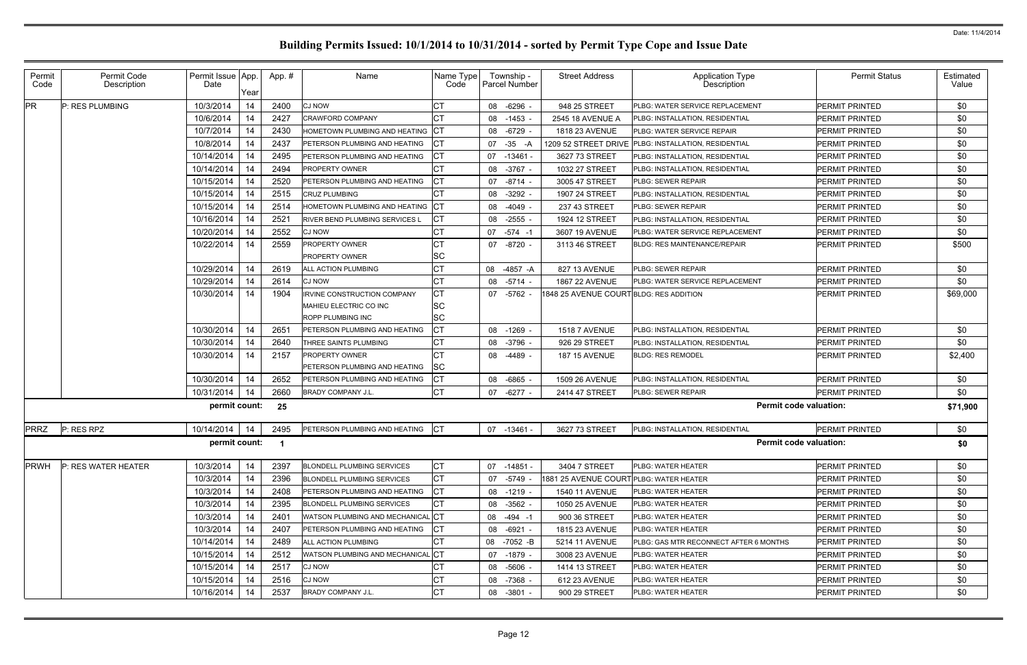| Permit<br>Code                                       | Permit Code<br>Description | Permit Issue App.<br>Date | Year | App.# | Name                                                                       | Name Type<br>Code                   | Township -<br><b>Parcel Number</b> | <b>Street Address</b>                  | <b>Application Type</b><br>Description | <b>Permit Status</b>  | Estimated<br>Value |
|------------------------------------------------------|----------------------------|---------------------------|------|-------|----------------------------------------------------------------------------|-------------------------------------|------------------------------------|----------------------------------------|----------------------------------------|-----------------------|--------------------|
| <b>PR</b>                                            | P: RES PLUMBING            | 10/3/2014                 | 14   | 2400  | <b>CJ NOW</b>                                                              | СT                                  | 08 -6296 -                         | 948 25 STREET                          | <b>PLBG: WATER SERVICE REPLACEMENT</b> | <b>PERMIT PRINTED</b> | \$0                |
|                                                      |                            | 10/6/2014                 | 14   | 2427  | <b>CRAWFORD COMPANY</b>                                                    | СT                                  | 08<br>$-1453$                      | 2545 18 AVENUE A                       | PLBG: INSTALLATION, RESIDENTIAL        | <b>PERMIT PRINTED</b> | \$0                |
|                                                      |                            | 10/7/2014                 | -14  | 2430  | HOMETOWN PLUMBING AND HEATING                                              | IСT                                 | 08 -6729                           | 1818 23 AVENUE                         | PLBG: WATER SERVICE REPAIR             | <b>PERMIT PRINTED</b> | \$0                |
|                                                      |                            | 10/8/2014                 | 14   | 2437  | PETERSON PLUMBING AND HEATING                                              | CT                                  | $-35 - A$<br>07                    | 1209 52 STREET DRIVE                   | PLBG: INSTALLATION, RESIDENTIAL        | <b>PERMIT PRINTED</b> | \$0                |
|                                                      |                            | 10/14/2014                | 14   | 2495  | PETERSON PLUMBING AND HEATING                                              | СT                                  | 07 -13461                          | 3627 73 STREET                         | PLBG: INSTALLATION, RESIDENTIAL        | <b>PERMIT PRINTED</b> | \$0                |
|                                                      |                            | 10/14/2014                | 14   | 2494  | <b>PROPERTY OWNER</b>                                                      | СT                                  | 08<br>-3767 -                      | 1032 27 STREET                         | PLBG: INSTALLATION, RESIDENTIAL        | <b>PERMIT PRINTED</b> | \$0                |
|                                                      |                            | 10/15/2014                | 14   | 2520  | PETERSON PLUMBING AND HEATING                                              | <b>CT</b>                           | 07 -8714 -                         | 3005 47 STREET                         | <b>PLBG: SEWER REPAIR</b>              | <b>PERMIT PRINTED</b> | \$0                |
|                                                      |                            | 10/15/2014                | 14   | 2515  | <b>CRUZ PLUMBING</b>                                                       | СT                                  | $-3292$<br>08                      | 1907 24 STREET                         | PLBG: INSTALLATION, RESIDENTIAL        | <b>PERMIT PRINTED</b> | \$0                |
|                                                      |                            | 10/15/2014                | 14   | 2514  | HOMETOWN PLUMBING AND HEATING                                              | IСT                                 | 08<br>$-4049 -$                    | 237 43 STREET                          | PLBG: SEWER REPAIR                     | <b>PERMIT PRINTED</b> | \$0                |
|                                                      |                            | 10/16/2014                | 14   | 2521  | <b>RIVER BEND PLUMBING SERVICES L</b>                                      | CT                                  | 08<br>$-2555$                      | 1924 12 STREET                         | PLBG: INSTALLATION, RESIDENTIAL        | <b>PERMIT PRINTED</b> | \$0                |
|                                                      |                            | 10/20/2014                | -14  | 2552  | <b>CJ NOW</b>                                                              | СT                                  | 07 -574 -1                         | 3607 19 AVENUE                         | <b>PLBG: WATER SERVICE REPLACEMENT</b> | <b>PERMIT PRINTED</b> | \$0                |
|                                                      |                            | 10/22/2014                | -14  | 2559  | <b>PROPERTY OWNER</b><br><b>PROPERTY OWNER</b>                             | СT<br>SC                            | 07 -8720 -                         | 3113 46 STREET                         | <b>BLDG: RES MAINTENANCE/REPAIR</b>    | <b>PERMIT PRINTED</b> | \$500              |
|                                                      |                            | 10/29/2014                | 14   | 2619  | <b>ALL ACTION PLUMBING</b>                                                 | СT                                  | 08 -4857 -A                        | 827 13 AVENUE                          | <b>PLBG: SEWER REPAIR</b>              | <b>PERMIT PRINTED</b> | \$0                |
|                                                      |                            | 10/29/2014                | 14   | 2614  | <b>CJ NOW</b>                                                              | СT                                  | 08 -5714 -                         | <b>1867 22 AVENUE</b>                  | PLBG: WATER SERVICE REPLACEMENT        | <b>PERMIT PRINTED</b> | \$0                |
|                                                      |                            | 10/30/2014                | 14   | 1904  | IRVINE CONSTRUCTION COMPANY<br>MAHIEU ELECTRIC CO INC<br>ROPP PLUMBING INC | <b>CT</b><br><b>SC</b><br><b>SC</b> | 07 -5762                           | 1848 25 AVENUE COURTBLDG: RES ADDITION |                                        | <b>PERMIT PRINTED</b> | \$69,000           |
|                                                      |                            | 10/30/2014                | 14   | 2651  | PETERSON PLUMBING AND HEATING                                              | СT                                  | 08<br>$-1269$                      | <b>1518 7 AVENUE</b>                   | <b>PLBG: INSTALLATION, RESIDENTIAL</b> | <b>PERMIT PRINTED</b> | \$0                |
|                                                      |                            | 10/30/2014                | 14   | 2640  | THREE SAINTS PLUMBING                                                      | СT                                  | 08 -3796                           | 926 29 STREET                          | PLBG: INSTALLATION, RESIDENTIAL        | <b>PERMIT PRINTED</b> | \$0                |
|                                                      |                            | 10/30/2014                | -14  | 2157  | <b>PROPERTY OWNER</b><br>PETERSON PLUMBING AND HEATING                     | СT<br>lSC                           | -4489 -<br>08                      | <b>187 15 AVENUE</b>                   | <b>BLDG: RES REMODEL</b>               | <b>PERMIT PRINTED</b> | \$2,400            |
|                                                      |                            | 10/30/2014                | 14   | 2652  | PETERSON PLUMBING AND HEATING                                              | СT                                  | 08 -6865 -                         | 1509 26 AVENUE                         | PLBG: INSTALLATION, RESIDENTIAL        | <b>PERMIT PRINTED</b> | \$0                |
|                                                      |                            | 10/31/2014                | 14   | 2660  | BRADY COMPANY J.L.                                                         | <b>CT</b>                           | 07 -6277 -                         | 2414 47 STREET                         | PLBG: SEWER REPAIR                     | <b>PERMIT PRINTED</b> | \$0                |
| <b>Permit code valuation:</b><br>permit count:<br>25 |                            |                           |      |       |                                                                            |                                     |                                    |                                        |                                        |                       | \$71,900           |
| <b>PRRZ</b>                                          | P: RES RPZ                 | 10/14/2014                | 14   | 2495  | PETERSON PLUMBING AND HEATING                                              | <b>ICT</b>                          | 07 -13461                          | 3627 73 STREET                         | PLBG: INSTALLATION, RESIDENTIAL        | <b>PERMIT PRINTED</b> | \$0                |
| <b>Permit code valuation:</b><br>permit count: 1     |                            |                           |      |       |                                                                            |                                     |                                    |                                        |                                        | \$0                   |                    |
| <b>PRWH</b>                                          | P: RES WATER HEATER        | 10/3/2014                 | 14   | 2397  | <b>BLONDELL PLUMBING SERVICES</b>                                          | СT                                  | 07 -14851                          | 3404 7 STREET                          | <b>PLBG: WATER HEATER</b>              | <b>PERMIT PRINTED</b> | \$0                |
|                                                      |                            | 10/3/2014                 | 14   | 2396  | <b>BLONDELL PLUMBING SERVICES</b>                                          | СT                                  | 07 -5749                           | 1881 25 AVENUE COURTPLBG: WATER HEATER |                                        | <b>PERMIT PRINTED</b> | \$0                |
|                                                      |                            | 10/3/2014                 | 14   | 2408  | <b>PETERSON PLUMBING AND HEATING</b>                                       | <b>CT</b>                           | 08 -1219 -                         | 1540 11 AVENUE                         | <b>PLBG: WATER HEATER</b>              | <b>PERMIT PRINTED</b> | \$0                |
|                                                      |                            | 10/3/2014                 | 14   | 2395  | <b>BLONDELL PLUMBING SERVICES</b>                                          | <b>CT</b>                           | 08<br>-3562 -                      | 1050 25 AVENUE                         | PLBG: WATER HEATER                     | <b>PERMIT PRINTED</b> | \$0                |
|                                                      |                            | 10/3/2014                 | 14   | 2401  | <b>WATSON PLUMBING AND MECHANICAL</b>                                      | . ICT                               | $-494 - 1$<br>08                   | 900 36 STREET                          | <b>PLBG: WATER HEATER</b>              | <b>PERMIT PRINTED</b> | \$0                |
|                                                      |                            | 10/3/2014                 | 14   | 2407  | PETERSON PLUMBING AND HEATING                                              | IСТ                                 | 08 -6921 -                         | 1815 23 AVENUE                         | <b>PLBG: WATER HEATER</b>              | <b>PERMIT PRINTED</b> | \$0                |
|                                                      |                            | 10/14/2014                | 14   | 2489  | ALL ACTION PLUMBING                                                        | СT                                  | 08 -7052 -B                        | 5214 11 AVENUE                         | PLBG: GAS MTR RECONNECT AFTER 6 MONTHS | <b>PERMIT PRINTED</b> | \$0                |
|                                                      |                            | 10/15/2014                | 14   | 2512  | WATSON PLUMBING AND MECHANICAL CT                                          |                                     | 07 -1879 -                         | 3008 23 AVENUE                         | PLBG: WATER HEATER                     | <b>PERMIT PRINTED</b> | \$0                |
|                                                      |                            | 10/15/2014                | 14   | 2517  | <b>CJ NOW</b>                                                              | СT                                  | 08 -5606 -                         | 1414 13 STREET                         | <b>PLBG: WATER HEATER</b>              | <b>PERMIT PRINTED</b> | \$0                |
|                                                      |                            | 10/15/2014                | 14   | 2516  | <b>CJ NOW</b>                                                              | СT                                  | 08 -7368 -                         | 612 23 AVENUE                          | <b>PLBG: WATER HEATER</b>              | <b>PERMIT PRINTED</b> | \$0                |
|                                                      |                            | 10/16/2014                | 14   | 2537  | <b>BRADY COMPANY J.L.</b>                                                  | СT                                  | 08 -3801                           | 900 29 STREET                          | PLBG: WATER HEATER                     | <b>PERMIT PRINTED</b> | \$0                |